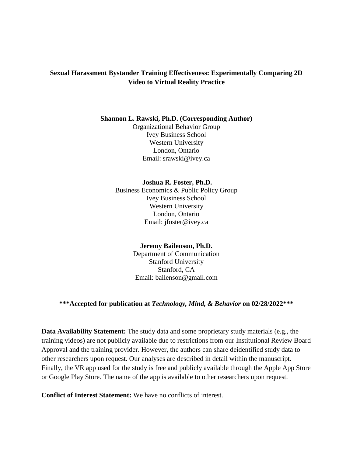## **Sexual Harassment Bystander Training Effectiveness: Experimentally Comparing 2D Video to Virtual Reality Practice**

#### **Shannon L. Rawski, Ph.D. (Corresponding Author)**

Organizational Behavior Group Ivey Business School Western University London, Ontario Email: srawski@ivey.ca

## **Joshua R. Foster, Ph.D.**

Business Economics & Public Policy Group Ivey Business School Western University London, Ontario Email: jfoster@ivey.ca

## **Jeremy Bailenson, Ph.D.**

Department of Communication Stanford University Stanford, CA Email: bailenson@gmail.com

## **\*\*\*Accepted for publication at** *Technology, Mind, & Behavior* **on 02/28/2022\*\*\***

**Data Availability Statement:** The study data and some proprietary study materials (e.g., the training videos) are not publicly available due to restrictions from our Institutional Review Board Approval and the training provider. However, the authors can share deidentified study data to other researchers upon request. Our analyses are described in detail within the manuscript. Finally, the VR app used for the study is free and publicly available through the Apple App Store or Google Play Store. The name of the app is available to other researchers upon request.

**Conflict of Interest Statement:** We have no conflicts of interest.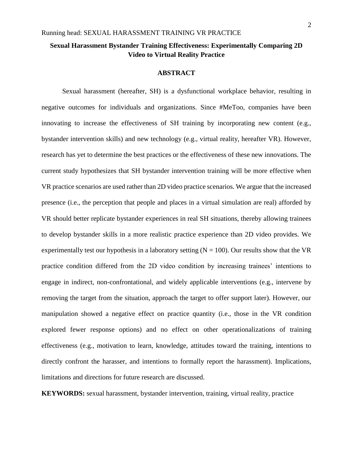## **Sexual Harassment Bystander Training Effectiveness: Experimentally Comparing 2D Video to Virtual Reality Practice**

#### **ABSTRACT**

Sexual harassment (hereafter, SH) is a dysfunctional workplace behavior, resulting in negative outcomes for individuals and organizations. Since #MeToo, companies have been innovating to increase the effectiveness of SH training by incorporating new content (e.g., bystander intervention skills) and new technology (e.g., virtual reality, hereafter VR). However, research has yet to determine the best practices or the effectiveness of these new innovations. The current study hypothesizes that SH bystander intervention training will be more effective when VR practice scenarios are used rather than 2D video practice scenarios. We argue that the increased presence (i.e., the perception that people and places in a virtual simulation are real) afforded by VR should better replicate bystander experiences in real SH situations, thereby allowing trainees to develop bystander skills in a more realistic practice experience than 2D video provides. We experimentally test our hypothesis in a laboratory setting  $(N = 100)$ . Our results show that the VR practice condition differed from the 2D video condition by increasing trainees' intentions to engage in indirect, non-confrontational, and widely applicable interventions (e.g., intervene by removing the target from the situation, approach the target to offer support later). However, our manipulation showed a negative effect on practice quantity (i.e., those in the VR condition explored fewer response options) and no effect on other operationalizations of training effectiveness (e.g., motivation to learn, knowledge, attitudes toward the training, intentions to directly confront the harasser, and intentions to formally report the harassment). Implications, limitations and directions for future research are discussed.

**KEYWORDS:** sexual harassment, bystander intervention, training, virtual reality, practice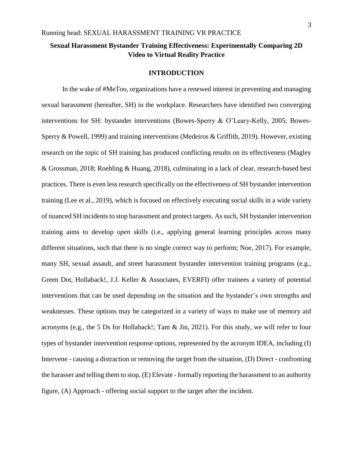## **Sexual Harassment Bystander Training Effectiveness: Experimentally Comparing 2D Video to Virtual Reality Practice**

## **INTRODUCTION**

In the wake of #MeToo, organizations have a renewed interest in preventing and managing sexual harassment (hereafter, SH) in the workplace. Researchers have identified two converging interventions for SH: bystander interventions (Bowes-Sperry & O'Leary-Kelly, 2005; Bowes-Sperry & Powell, 1999) and training interventions (Medeiros & Griffith, 2019). However, existing research on the topic of SH training has produced conflicting results on its effectiveness (Magley & Grossman, 2018; Roehling & Huang, 2018), culminating in a lack of clear, research-based best practices. There is even less research specifically on the effectiveness of SH bystander intervention training (Lee et al., 2019), which is focused on effectively executing social skills in a wide variety of nuanced SH incidents to stop harassment and protect targets. As such, SH bystander intervention training aims to develop *open skills* (i.e., applying general learning principles across many different situations, such that there is no single correct way to perform; Noe, 2017). For example, many SH, sexual assault, and street harassment bystander intervention training programs (e.g., Green Dot, Hollaback!, J.J. Keller & Associates, EVERFI) offer trainees a variety of potential interventions that can be used depending on the situation and the bystander's own strengths and weaknesses. These options may be categorized in a variety of ways to make use of memory aid acronyms (e.g., the 5 Ds for Hollaback!; Tam & Jin, 2021). For this study, we will refer to four types of bystander intervention response options, represented by the acronym IDEA, including (I) Intervene - causing a distraction or removing the target from the situation, (D) Direct - confronting the harasser and telling them to stop, (E) Elevate - formally reporting the harassment to an authority figure, (A) Approach - offering social support to the target after the incident.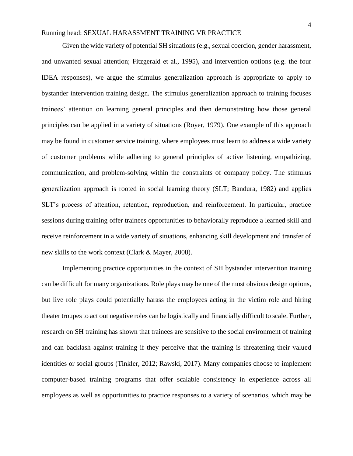Given the wide variety of potential SH situations (e.g., sexual coercion, gender harassment, and unwanted sexual attention; Fitzgerald et al., 1995), and intervention options (e.g. the four IDEA responses), we argue the stimulus generalization approach is appropriate to apply to bystander intervention training design. The stimulus generalization approach to training focuses trainees' attention on learning general principles and then demonstrating how those general principles can be applied in a variety of situations (Royer, 1979). One example of this approach may be found in customer service training, where employees must learn to address a wide variety of customer problems while adhering to general principles of active listening, empathizing, communication, and problem-solving within the constraints of company policy. The stimulus generalization approach is rooted in social learning theory (SLT; Bandura, 1982) and applies SLT's process of attention, retention, reproduction, and reinforcement. In particular, practice sessions during training offer trainees opportunities to behaviorally reproduce a learned skill and receive reinforcement in a wide variety of situations, enhancing skill development and transfer of new skills to the work context (Clark & Mayer, 2008).

Implementing practice opportunities in the context of SH bystander intervention training can be difficult for many organizations. Role plays may be one of the most obvious design options, but live role plays could potentially harass the employees acting in the victim role and hiring theater troupes to act out negative roles can be logistically and financially difficult to scale. Further, research on SH training has shown that trainees are sensitive to the social environment of training and can backlash against training if they perceive that the training is threatening their valued identities or social groups (Tinkler, 2012; Rawski, 2017). Many companies choose to implement computer-based training programs that offer scalable consistency in experience across all employees as well as opportunities to practice responses to a variety of scenarios, which may be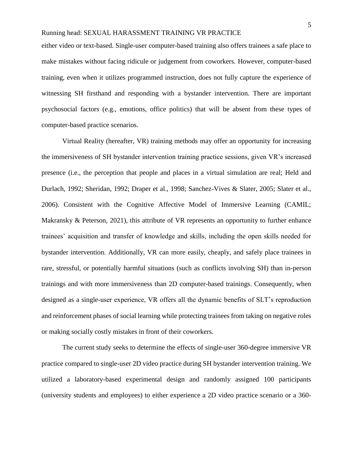either video or text-based. Single-user computer-based training also offers trainees a safe place to make mistakes without facing ridicule or judgement from coworkers. However, computer-based training, even when it utilizes programmed instruction, does not fully capture the experience of witnessing SH firsthand and responding with a bystander intervention. There are important psychosocial factors (e.g., emotions, office politics) that will be absent from these types of computer-based practice scenarios.

Virtual Reality (hereafter, VR) training methods may offer an opportunity for increasing the immersiveness of SH bystander intervention training practice sessions, given VR's increased presence (i.e., the perception that people and places in a virtual simulation are real; Held and Durlach, 1992; Sheridan, 1992; Draper et al., 1998; Sanchez-Vives & Slater, 2005; Slater et al., 2006). Consistent with the Cognitive Affective Model of Immersive Learning (CAMIL; Makransky & Peterson, 2021), this attribute of VR represents an opportunity to further enhance trainees' acquisition and transfer of knowledge and skills, including the open skills needed for bystander intervention. Additionally, VR can more easily, cheaply, and safely place trainees in rare, stressful, or potentially harmful situations (such as conflicts involving SH) than in-person trainings and with more immersiveness than 2D computer-based trainings. Consequently, when designed as a single-user experience, VR offers all the dynamic benefits of SLT's reproduction and reinforcement phases of social learning while protecting trainees from taking on negative roles or making socially costly mistakes in front of their coworkers.

The current study seeks to determine the effects of single-user 360-degree immersive VR practice compared to single-user 2D video practice during SH bystander intervention training. We utilized a laboratory-based experimental design and randomly assigned 100 participants (university students and employees) to either experience a 2D video practice scenario or a 360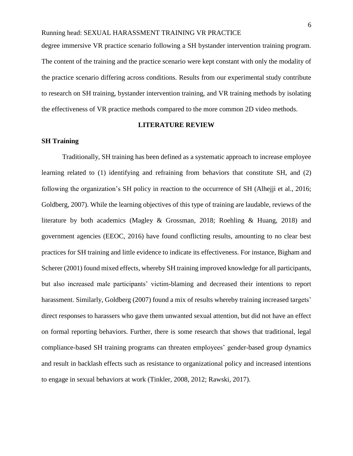degree immersive VR practice scenario following a SH bystander intervention training program. The content of the training and the practice scenario were kept constant with only the modality of the practice scenario differing across conditions. Results from our experimental study contribute to research on SH training, bystander intervention training, and VR training methods by isolating the effectiveness of VR practice methods compared to the more common 2D video methods.

### **LITERATURE REVIEW**

## **SH Training**

 Traditionally, SH training has been defined as a systematic approach to increase employee learning related to (1) identifying and refraining from behaviors that constitute SH, and (2) following the organization's SH policy in reaction to the occurrence of SH (Alhejji et al., 2016; Goldberg, 2007). While the learning objectives of this type of training are laudable, reviews of the literature by both academics (Magley & Grossman, 2018; Roehling & Huang, 2018) and government agencies (EEOC, 2016) have found conflicting results, amounting to no clear best practices for SH training and little evidence to indicate its effectiveness. For instance, Bigham and Scherer (2001) found mixed effects, whereby SH training improved knowledge for all participants, but also increased male participants' victim-blaming and decreased their intentions to report harassment. Similarly, Goldberg (2007) found a mix of results whereby training increased targets' direct responses to harassers who gave them unwanted sexual attention, but did not have an effect on formal reporting behaviors. Further, there is some research that shows that traditional, legal compliance-based SH training programs can threaten employees' gender-based group dynamics and result in backlash effects such as resistance to organizational policy and increased intentions to engage in sexual behaviors at work (Tinkler, 2008, 2012; Rawski, 2017).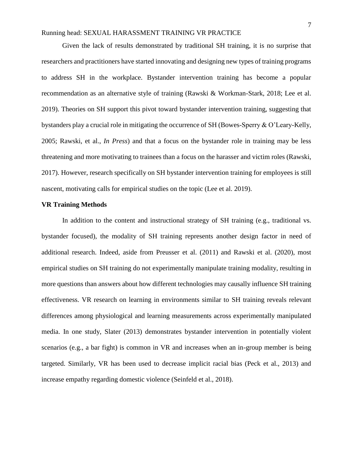Given the lack of results demonstrated by traditional SH training, it is no surprise that researchers and practitioners have started innovating and designing new types of training programs to address SH in the workplace. Bystander intervention training has become a popular recommendation as an alternative style of training (Rawski & Workman-Stark, 2018; Lee et al. 2019). Theories on SH support this pivot toward bystander intervention training, suggesting that bystanders play a crucial role in mitigating the occurrence of SH (Bowes-Sperry & O'Leary-Kelly, 2005; Rawski, et al., *In Press*) and that a focus on the bystander role in training may be less threatening and more motivating to trainees than a focus on the harasser and victim roles (Rawski, 2017). However, research specifically on SH bystander intervention training for employees is still nascent, motivating calls for empirical studies on the topic (Lee et al. 2019).

#### **VR Training Methods**

In addition to the content and instructional strategy of SH training (e.g., traditional vs. bystander focused), the modality of SH training represents another design factor in need of additional research. Indeed, aside from Preusser et al. (2011) and Rawski et al. (2020), most empirical studies on SH training do not experimentally manipulate training modality, resulting in more questions than answers about how different technologies may causally influence SH training effectiveness. VR research on learning in environments similar to SH training reveals relevant differences among physiological and learning measurements across experimentally manipulated media. In one study, Slater (2013) demonstrates bystander intervention in potentially violent scenarios (e.g., a bar fight) is common in VR and increases when an in-group member is being targeted. Similarly, VR has been used to decrease implicit racial bias (Peck et al., 2013) and increase empathy regarding domestic violence (Seinfeld et al., 2018).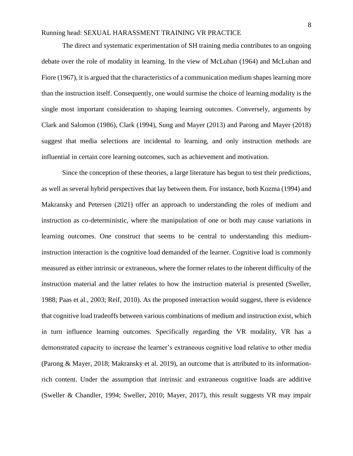The direct and systematic experimentation of SH training media contributes to an ongoing debate over the role of modality in learning. In the view of McLuhan (1964) and McLuhan and Fiore (1967), it is argued that the characteristics of a communication medium shapes learning more than the instruction itself. Consequently, one would surmise the choice of learning modality is the single most important consideration to shaping learning outcomes. Conversely, arguments by Clark and Salomon (1986), Clark (1994), Sung and Mayer (2013) and Parong and Mayer (2018) suggest that media selections are incidental to learning, and only instruction methods are influential in certain core learning outcomes, such as achievement and motivation.

Since the conception of these theories, a large literature has begun to test their predictions, as well as several hybrid perspectives that lay between them. For instance, both Kozma (1994) and Makransky and Petersen (2021) offer an approach to understanding the roles of medium and instruction as co-deterministic, where the manipulation of one or both may cause variations in learning outcomes. One construct that seems to be central to understanding this mediuminstruction interaction is the cognitive load demanded of the learner. Cognitive load is commonly measured as either intrinsic or extraneous, where the former relates to the inherent difficulty of the instruction material and the latter relates to how the instruction material is presented (Sweller, 1988; Paas et al., 2003; Reif, 2010). As the proposed interaction would suggest, there is evidence that cognitive load tradeoffs between various combinations of medium and instruction exist, which in turn influence learning outcomes. Specifically regarding the VR modality, VR has a demonstrated capacity to increase the learner's extraneous cognitive load relative to other media (Parong & Mayer, 2018; Makransky et al. 2019), an outcome that is attributed to its informationrich content. Under the assumption that intrinsic and extraneous cognitive loads are additive (Sweller & Chandler, 1994; Sweller, 2010; Mayer, 2017), this result suggests VR may impair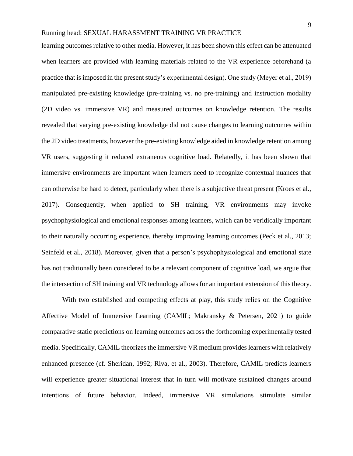learning outcomes relative to other media. However, it has been shown this effect can be attenuated when learners are provided with learning materials related to the VR experience beforehand (a practice that is imposed in the present study's experimental design). One study (Meyer et al., 2019) manipulated pre-existing knowledge (pre-training vs. no pre-training) and instruction modality (2D video vs. immersive VR) and measured outcomes on knowledge retention. The results revealed that varying pre-existing knowledge did not cause changes to learning outcomes within the 2D video treatments, however the pre-existing knowledge aided in knowledge retention among VR users, suggesting it reduced extraneous cognitive load. Relatedly, it has been shown that immersive environments are important when learners need to recognize contextual nuances that can otherwise be hard to detect, particularly when there is a subjective threat present (Kroes et al., 2017). Consequently, when applied to SH training, VR environments may invoke psychophysiological and emotional responses among learners, which can be veridically important to their naturally occurring experience, thereby improving learning outcomes (Peck et al., 2013; Seinfeld et al., 2018). Moreover, given that a person's psychophysiological and emotional state has not traditionally been considered to be a relevant component of cognitive load, we argue that the intersection of SH training and VR technology allows for an important extension of this theory.

With two established and competing effects at play, this study relies on the Cognitive Affective Model of Immersive Learning (CAMIL; Makransky & Petersen, 2021) to guide comparative static predictions on learning outcomes across the forthcoming experimentally tested media. Specifically, CAMIL theorizes the immersive VR medium provides learners with relatively enhanced presence (cf. Sheridan, 1992; Riva, et al., 2003). Therefore, CAMIL predicts learners will experience greater situational interest that in turn will motivate sustained changes around intentions of future behavior. Indeed, immersive VR simulations stimulate similar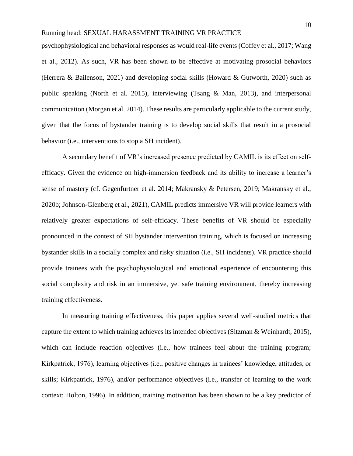psychophysiological and behavioral responses as would real-life events (Coffey et al., 2017; Wang et al., 2012). As such, VR has been shown to be effective at motivating prosocial behaviors (Herrera & Bailenson, 2021) and developing social skills (Howard & Gutworth, 2020) such as public speaking (North et al. 2015), interviewing (Tsang & Man, 2013), and interpersonal communication (Morgan et al. 2014). These results are particularly applicable to the current study, given that the focus of bystander training is to develop social skills that result in a prosocial behavior (i.e., interventions to stop a SH incident).

A secondary benefit of VR's increased presence predicted by CAMIL is its effect on selfefficacy. Given the evidence on high-immersion feedback and its ability to increase a learner's sense of mastery (cf. Gegenfurtner et al. 2014; Makransky & Petersen, 2019; Makransky et al., 2020b; Johnson-Glenberg et al., 2021), CAMIL predicts immersive VR will provide learners with relatively greater expectations of self-efficacy. These benefits of VR should be especially pronounced in the context of SH bystander intervention training, which is focused on increasing bystander skills in a socially complex and risky situation (i.e., SH incidents). VR practice should provide trainees with the psychophysiological and emotional experience of encountering this social complexity and risk in an immersive, yet safe training environment, thereby increasing training effectiveness.

In measuring training effectiveness, this paper applies several well-studied metrics that capture the extent to which training achieves its intended objectives (Sitzman  $\&$  Weinhardt, 2015), which can include reaction objectives (i.e., how trainees feel about the training program; Kirkpatrick, 1976), learning objectives (i.e., positive changes in trainees' knowledge, attitudes, or skills; Kirkpatrick, 1976), and/or performance objectives (i.e., transfer of learning to the work context; Holton, 1996). In addition, training motivation has been shown to be a key predictor of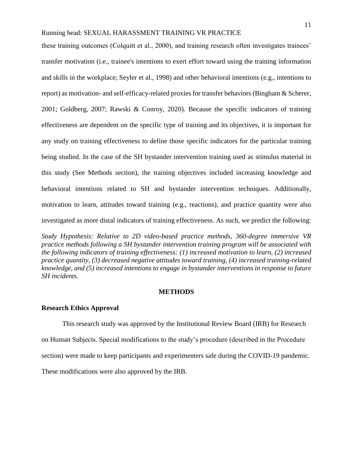these training outcomes (Colquitt et al., 2000), and training research often investigates trainees' transfer motivation (i.e., trainee's intentions to exert effort toward using the training information and skills in the workplace; Seyler et al., 1998) and other behavioral intentions (e.g., intentions to report) as motivation- and self-efficacy-related proxies for transfer behaviors (Bingham & Scherer, 2001; Goldberg, 2007; Rawski & Conroy, 2020). Because the specific indicators of training effectiveness are dependent on the specific type of training and its objectives, it is important for any study on training effectiveness to define those specific indicators for the particular training being studied. In the case of the SH bystander intervention training used as stimulus material in this study (See Methods section), the training objectives included increasing knowledge and behavioral intentions related to SH and bystander intervention techniques. Additionally, motivation to learn, attitudes toward training (e.g., reactions), and practice quantity were also investigated as more distal indicators of training effectiveness. As such, we predict the following:

*Study Hypothesis: Relative to 2D video-based practice methods, 360-degree immersive VR practice methods following a SH bystander intervention training program will be associated with the following indicators of training effectiveness: (1) increased motivation to learn, (2) increased practice quantity, (3) decreased negative attitudes toward training, (4) increased training-related knowledge, and (5) increased intentions to engage in bystander interventions in response to future SH incidents.* 

#### **METHODS**

## **Research Ethics Approval**

This research study was approved by the Institutional Review Board (IRB) for Research on Human Subjects. Special modifications to the study's procedure (described in the Procedure section) were made to keep participants and experimenters safe during the COVID-19 pandemic. These modifications were also approved by the IRB.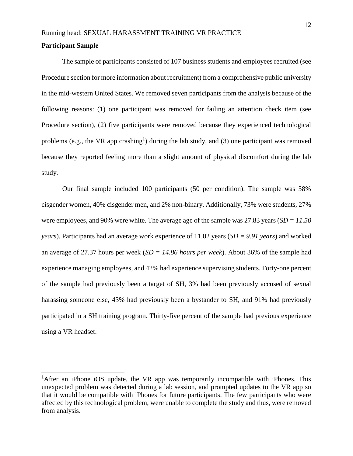## **Participant Sample**

The sample of participants consisted of 107 business students and employees recruited (see Procedure section for more information about recruitment) from a comprehensive public university in the mid-western United States. We removed seven participants from the analysis because of the following reasons: (1) one participant was removed for failing an attention check item (see Procedure section), (2) five participants were removed because they experienced technological problems (e.g., the VR app crashing<sup>1</sup>) during the lab study, and (3) one participant was removed because they reported feeling more than a slight amount of physical discomfort during the lab study.

Our final sample included 100 participants (50 per condition). The sample was 58% cisgender women, 40% cisgender men, and 2% non-binary. Additionally, 73% were students, 27% were employees, and 90% were white. The average age of the sample was 27.83 years (*SD* = 11.50 *years*). Participants had an average work experience of 11.02 years (*SD = 9.91 years*) and worked an average of 27.37 hours per week (*SD = 14.86 hours per week*). About 36% of the sample had experience managing employees, and 42% had experience supervising students. Forty-one percent of the sample had previously been a target of SH, 3% had been previously accused of sexual harassing someone else, 43% had previously been a bystander to SH, and 91% had previously participated in a SH training program. Thirty-five percent of the sample had previous experience using a VR headset.

<sup>&</sup>lt;sup>1</sup>After an iPhone iOS update, the VR app was temporarily incompatible with iPhones. This unexpected problem was detected during a lab session, and prompted updates to the VR app so that it would be compatible with iPhones for future participants. The few participants who were affected by this technological problem, were unable to complete the study and thus, were removed from analysis.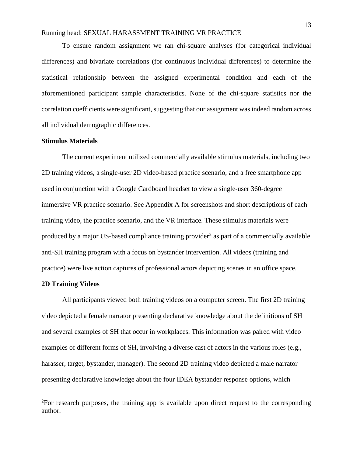To ensure random assignment we ran chi-square analyses (for categorical individual differences) and bivariate correlations (for continuous individual differences) to determine the statistical relationship between the assigned experimental condition and each of the aforementioned participant sample characteristics. None of the chi-square statistics nor the correlation coefficients were significant, suggesting that our assignment was indeed random across all individual demographic differences.

#### **Stimulus Materials**

The current experiment utilized commercially available stimulus materials, including two 2D training videos, a single-user 2D video-based practice scenario, and a free smartphone app used in conjunction with a Google Cardboard headset to view a single-user 360-degree immersive VR practice scenario. See Appendix A for screenshots and short descriptions of each training video, the practice scenario, and the VR interface. These stimulus materials were produced by a major US-based compliance training provider<sup>2</sup> as part of a commercially available anti-SH training program with a focus on bystander intervention. All videos (training and practice) were live action captures of professional actors depicting scenes in an office space.

#### **2D Training Videos**

 $\overline{a}$ 

All participants viewed both training videos on a computer screen. The first 2D training video depicted a female narrator presenting declarative knowledge about the definitions of SH and several examples of SH that occur in workplaces. This information was paired with video examples of different forms of SH, involving a diverse cast of actors in the various roles (e.g., harasser, target, bystander, manager). The second 2D training video depicted a male narrator presenting declarative knowledge about the four IDEA bystander response options, which

 ${}^{2}$ For research purposes, the training app is available upon direct request to the corresponding author.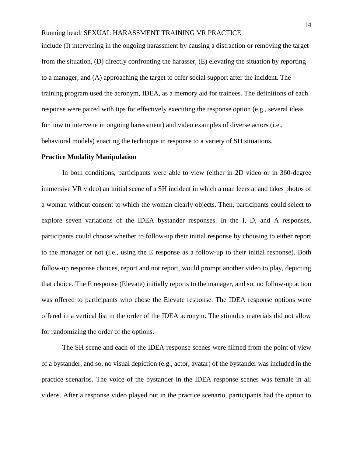include (I) intervening in the ongoing harassment by causing a distraction or removing the target from the situation, (D) directly confronting the harasser, (E) elevating the situation by reporting to a manager, and (A) approaching the target to offer social support after the incident. The training program used the acronym, IDEA, as a memory aid for trainees. The definitions of each response were paired with tips for effectively executing the response option (e.g., several ideas for how to intervene in ongoing harassment) and video examples of diverse actors (i.e., behavioral models) enacting the technique in response to a variety of SH situations.

#### **Practice Modality Manipulation**

In both conditions, participants were able to view (either in 2D video or in 360-degree immersive VR video) an initial scene of a SH incident in which a man leers at and takes photos of a woman without consent to which the woman clearly objects. Then, participants could select to explore seven variations of the IDEA bystander responses. In the I, D, and A responses, participants could choose whether to follow-up their initial response by choosing to either report to the manager or not (i.e., using the E response as a follow-up to their initial response). Both follow-up response choices, report and not report, would prompt another video to play, depicting that choice. The E response (Elevate) initially reports to the manager, and so, no follow-up action was offered to participants who chose the Elevate response. The IDEA response options were offered in a vertical list in the order of the IDEA acronym. The stimulus materials did not allow for randomizing the order of the options.

The SH scene and each of the IDEA response scenes were filmed from the point of view of a bystander, and so, no visual depiction (e.g., actor, avatar) of the bystander was included in the practice scenarios. The voice of the bystander in the IDEA response scenes was female in all videos. After a response video played out in the practice scenario, participants had the option to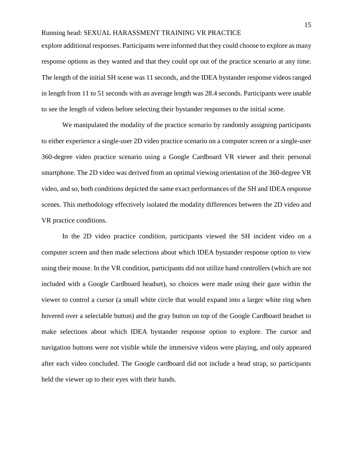explore additional responses. Participants were informed that they could choose to explore as many response options as they wanted and that they could opt out of the practice scenario at any time. The length of the initial SH scene was 11 seconds, and the IDEA bystander response videos ranged in length from 11 to 51 seconds with an average length was 28.4 seconds. Participants were unable to see the length of videos before selecting their bystander responses to the initial scene.

We manipulated the modality of the practice scenario by randomly assigning participants to either experience a single-user 2D video practice scenario on a computer screen or a single-user 360-degree video practice scenario using a Google Cardboard VR viewer and their personal smartphone. The 2D video was derived from an optimal viewing orientation of the 360-degree VR video, and so, both conditions depicted the same exact performances of the SH and IDEA response scenes. This methodology effectively isolated the modality differences between the 2D video and VR practice conditions.

In the 2D video practice condition, participants viewed the SH incident video on a computer screen and then made selections about which IDEA bystander response option to view using their mouse. In the VR condition, participants did not utilize hand controllers (which are not included with a Google Cardboard headset), so choices were made using their gaze within the viewer to control a cursor (a small white circle that would expand into a larger white ring when hovered over a selectable button) and the gray button on top of the Google Cardboard headset to make selections about which IDEA bystander response option to explore. The cursor and navigation buttons were not visible while the immersive videos were playing, and only appeared after each video concluded. The Google cardboard did not include a head strap, so participants held the viewer up to their eyes with their hands.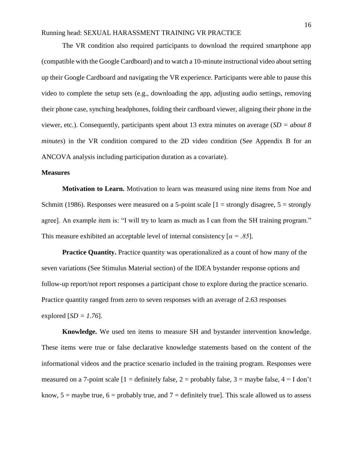The VR condition also required participants to download the required smartphone app (compatible with the Google Cardboard) and to watch a 10-minute instructional video about setting up their Google Cardboard and navigating the VR experience. Participants were able to pause this video to complete the setup sets (e.g., downloading the app, adjusting audio settings, removing their phone case, synching headphones, folding their cardboard viewer, aligning their phone in the viewer, etc.). Consequently, participants spent about 13 extra minutes on average (*SD = about 8 minutes*) in the VR condition compared to the 2D video condition (See Appendix B for an ANCOVA analysis including participation duration as a covariate).

#### **Measures**

**Motivation to Learn.** Motivation to learn was measured using nine items from Noe and Schmitt (1986). Responses were measured on a 5-point scale  $[1 =$  strongly disagree,  $5 =$  strongly agree]. An example item is: "I will try to learn as much as I can from the SH training program." This measure exhibited an acceptable level of internal consistency  $\lceil \alpha = .85 \rceil$ .

**Practice Quantity.** Practice quantity was operationalized as a count of how many of the seven variations (See Stimulus Material section) of the IDEA bystander response options and follow-up report/not report responses a participant chose to explore during the practice scenario. Practice quantity ranged from zero to seven responses with an average of 2.63 responses explored  $[SD = 1.76]$ .

**Knowledge.** We used ten items to measure SH and bystander intervention knowledge. These items were true or false declarative knowledge statements based on the content of the informational videos and the practice scenario included in the training program. Responses were measured on a 7-point scale  $[1 =$  definitely false,  $2 =$  probably false,  $3 =$  maybe false,  $4 =$  I don't know,  $5 =$  maybe true,  $6 =$  probably true, and  $7 =$  definitely true]. This scale allowed us to assess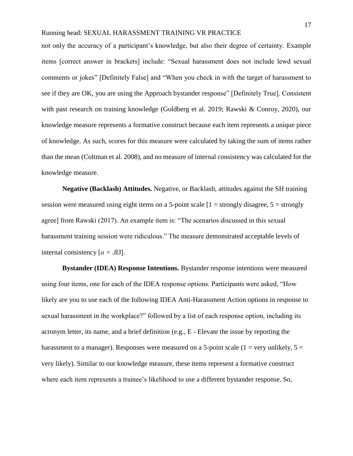not only the accuracy of a participant's knowledge, but also their degree of certainty. Example items [correct answer in brackets] include: "Sexual harassment does not include lewd sexual comments or jokes" [Definitely False] and "When you check in with the target of harassment to see if they are OK, you are using the Approach bystander response" [Definitely True]. Consistent with past research on training knowledge (Goldberg et al. 2019; Rawski & Conroy, 2020), our knowledge measure represents a formative construct because each item represents a unique piece of knowledge. As such, scores for this measure were calculated by taking the sum of items rather than the mean (Coltman et al. 2008), and no measure of internal consistency was calculated for the knowledge measure.

**Negative (Backlash) Attitudes.** Negative, or Backlash, attitudes against the SH training session were measured using eight items on a 5-point scale  $[1 =$  strongly disagree,  $5 =$  strongly agree] from Rawski (2017). An example item is: "The scenarios discussed in this sexual harassment training session were ridiculous." The measure demonstrated acceptable levels of internal consistency  $[\alpha = .83]$ .

 **Bystander (IDEA) Response Intentions.** Bystander response intentions were measured using four items, one for each of the IDEA response options. Participants were asked, "How likely are you to use each of the following IDEA Anti-Harassment Action options in response to sexual harassment in the workplace?" followed by a list of each response option, including its acronym letter, its name, and a brief definition (e.g., E - Elevate the issue by reporting the harassment to a manager). Responses were measured on a 5-point scale (1 = very unlikely,  $5 =$ very likely). Similar to our knowledge measure, these items represent a formative construct where each item represents a trainee's likelihood to use a different bystander response. So,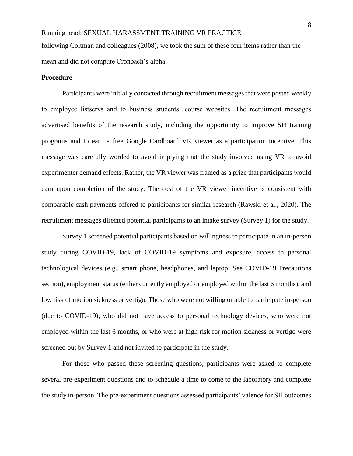following Coltman and colleagues (2008), we took the sum of these four items rather than the mean and did not compute Cronbach's alpha.

#### **Procedure**

Participants were initially contacted through recruitment messages that were posted weekly to employee listservs and to business students' course websites. The recruitment messages advertised benefits of the research study, including the opportunity to improve SH training programs and to earn a free Google Cardboard VR viewer as a participation incentive. This message was carefully worded to avoid implying that the study involved using VR to avoid experimenter demand effects. Rather, the VR viewer was framed as a prize that participants would earn upon completion of the study. The cost of the VR viewer incentive is consistent with comparable cash payments offered to participants for similar research (Rawski et al., 2020). The recruitment messages directed potential participants to an intake survey (Survey 1) for the study.

Survey 1 screened potential participants based on willingness to participate in an in-person study during COVID-19, lack of COVID-19 symptoms and exposure, access to personal technological devices (e.g., smart phone, headphones, and laptop; See COVID-19 Precautions section), employment status (either currently employed or employed within the last 6 months), and low risk of motion sickness or vertigo. Those who were not willing or able to participate in-person (due to COVID-19), who did not have access to personal technology devices, who were not employed within the last 6 months, or who were at high risk for motion sickness or vertigo were screened out by Survey 1 and not invited to participate in the study.

For those who passed these screening questions, participants were asked to complete several pre-experiment questions and to schedule a time to come to the laboratory and complete the study in-person. The pre-experiment questions assessed participants' valence for SH outcomes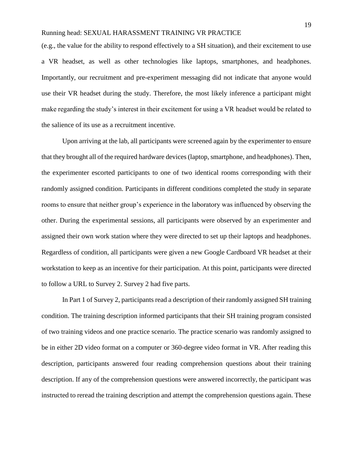(e.g., the value for the ability to respond effectively to a SH situation), and their excitement to use a VR headset, as well as other technologies like laptops, smartphones, and headphones. Importantly, our recruitment and pre-experiment messaging did not indicate that anyone would use their VR headset during the study. Therefore, the most likely inference a participant might make regarding the study's interest in their excitement for using a VR headset would be related to the salience of its use as a recruitment incentive.

Upon arriving at the lab, all participants were screened again by the experimenter to ensure that they brought all of the required hardware devices (laptop, smartphone, and headphones). Then, the experimenter escorted participants to one of two identical rooms corresponding with their randomly assigned condition. Participants in different conditions completed the study in separate rooms to ensure that neither group's experience in the laboratory was influenced by observing the other. During the experimental sessions, all participants were observed by an experimenter and assigned their own work station where they were directed to set up their laptops and headphones. Regardless of condition, all participants were given a new Google Cardboard VR headset at their workstation to keep as an incentive for their participation. At this point, participants were directed to follow a URL to Survey 2. Survey 2 had five parts.

In Part 1 of Survey 2, participants read a description of their randomly assigned SH training condition. The training description informed participants that their SH training program consisted of two training videos and one practice scenario. The practice scenario was randomly assigned to be in either 2D video format on a computer or 360-degree video format in VR. After reading this description, participants answered four reading comprehension questions about their training description. If any of the comprehension questions were answered incorrectly, the participant was instructed to reread the training description and attempt the comprehension questions again. These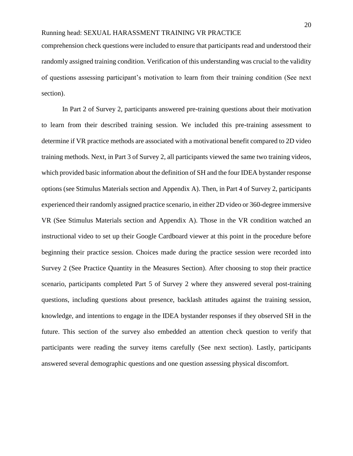comprehension check questions were included to ensure that participants read and understood their randomly assigned training condition. Verification of this understanding was crucial to the validity of questions assessing participant's motivation to learn from their training condition (See next section).

In Part 2 of Survey 2, participants answered pre-training questions about their motivation to learn from their described training session. We included this pre-training assessment to determine if VR practice methods are associated with a motivational benefit compared to 2D video training methods. Next, in Part 3 of Survey 2, all participants viewed the same two training videos, which provided basic information about the definition of SH and the four IDEA bystander response options (see Stimulus Materials section and Appendix A). Then, in Part 4 of Survey 2, participants experienced their randomly assigned practice scenario, in either 2D video or 360-degree immersive VR (See Stimulus Materials section and Appendix A). Those in the VR condition watched an instructional video to set up their Google Cardboard viewer at this point in the procedure before beginning their practice session. Choices made during the practice session were recorded into Survey 2 (See Practice Quantity in the Measures Section). After choosing to stop their practice scenario, participants completed Part 5 of Survey 2 where they answered several post-training questions, including questions about presence, backlash attitudes against the training session, knowledge, and intentions to engage in the IDEA bystander responses if they observed SH in the future. This section of the survey also embedded an attention check question to verify that participants were reading the survey items carefully (See next section). Lastly, participants answered several demographic questions and one question assessing physical discomfort.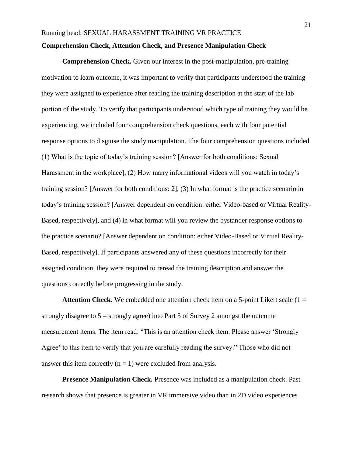**Comprehension Check.** Given our interest in the post-manipulation, pre-training motivation to learn outcome, it was important to verify that participants understood the training they were assigned to experience after reading the training description at the start of the lab portion of the study. To verify that participants understood which type of training they would be experiencing, we included four comprehension check questions, each with four potential response options to disguise the study manipulation. The four comprehension questions included (1) What is the topic of today's training session? [Answer for both conditions: Sexual Harassment in the workplace], (2) How many informational videos will you watch in today's training session? [Answer for both conditions: 2], (3) In what format is the practice scenario in today's training session? [Answer dependent on condition: either Video-based or Virtual Reality-Based, respectively], and (4) in what format will you review the bystander response options to the practice scenario? [Answer dependent on condition: either Video-Based or Virtual Reality-Based, respectively]. If participants answered any of these questions incorrectly for their assigned condition, they were required to reread the training description and answer the questions correctly before progressing in the study.

**Attention Check.** We embedded one attention check item on a 5-point Likert scale  $(1 =$ strongly disagree to  $5 =$  strongly agree) into Part 5 of Survey 2 amongst the outcome measurement items. The item read: "This is an attention check item. Please answer 'Strongly Agree' to this item to verify that you are carefully reading the survey." Those who did not answer this item correctly  $(n = 1)$  were excluded from analysis.

**Presence Manipulation Check.** Presence was included as a manipulation check. Past research shows that presence is greater in VR immersive video than in 2D video experiences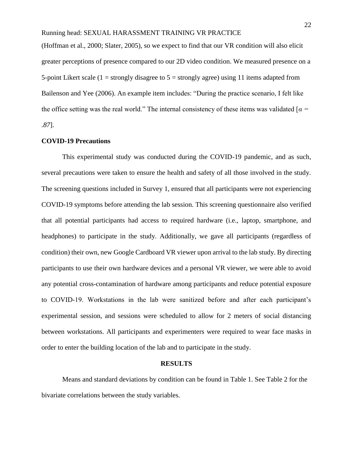(Hoffman et al., 2000; Slater, 2005), so we expect to find that our VR condition will also elicit greater perceptions of presence compared to our 2D video condition. We measured presence on a 5-point Likert scale  $(1 =$  strongly disagree to  $5 =$  strongly agree) using 11 items adapted from Bailenson and Yee (2006). An example item includes: "During the practice scenario, I felt like the office setting was the real world." The internal consistency of these items was validated [*α = .87*].

## **COVID-19 Precautions**

This experimental study was conducted during the COVID-19 pandemic, and as such, several precautions were taken to ensure the health and safety of all those involved in the study. The screening questions included in Survey 1, ensured that all participants were not experiencing COVID-19 symptoms before attending the lab session. This screening questionnaire also verified that all potential participants had access to required hardware (i.e., laptop, smartphone, and headphones) to participate in the study. Additionally, we gave all participants (regardless of condition) their own, new Google Cardboard VR viewer upon arrival to the lab study. By directing participants to use their own hardware devices and a personal VR viewer, we were able to avoid any potential cross-contamination of hardware among participants and reduce potential exposure to COVID-19. Workstations in the lab were sanitized before and after each participant's experimental session, and sessions were scheduled to allow for 2 meters of social distancing between workstations. All participants and experimenters were required to wear face masks in order to enter the building location of the lab and to participate in the study.

#### **RESULTS**

Means and standard deviations by condition can be found in Table 1. See Table 2 for the bivariate correlations between the study variables.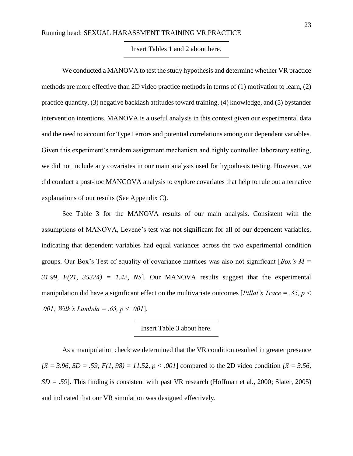#### Insert Tables 1 and 2 about here.

We conducted a MANOVA to test the study hypothesis and determine whether VR practice methods are more effective than 2D video practice methods in terms of (1) motivation to learn, (2) practice quantity, (3) negative backlash attitudes toward training, (4) knowledge, and (5) bystander intervention intentions. MANOVA is a useful analysis in this context given our experimental data and the need to account for Type I errors and potential correlations among our dependent variables. Given this experiment's random assignment mechanism and highly controlled laboratory setting, we did not include any covariates in our main analysis used for hypothesis testing. However, we did conduct a post-hoc MANCOVA analysis to explore covariates that help to rule out alternative explanations of our results (See Appendix C).

See Table 3 for the MANOVA results of our main analysis. Consistent with the assumptions of MANOVA, Levene's test was not significant for all of our dependent variables, indicating that dependent variables had equal variances across the two experimental condition groups. Our Box's Test of equality of covariance matrices was also not significant [*Box's M = 31.99, F(21, 35324) = 1.42, NS*]. Our MANOVA results suggest that the experimental manipulation did have a significant effect on the multivariate outcomes [*Pillai's Trace = .35, p < .001; Wilk's Lambda = .65, p < .001*].

## Insert Table 3 about here.

As a manipulation check we determined that the VR condition resulted in greater presence  $[{\bar x} = 3.96, SD = .59; F(1, 98) = 11.52, p < .001]$  compared to the 2D video condition  ${\bar x} = 3.56$ , *SD = .59*]. This finding is consistent with past VR research (Hoffman et al., 2000; Slater, 2005) and indicated that our VR simulation was designed effectively.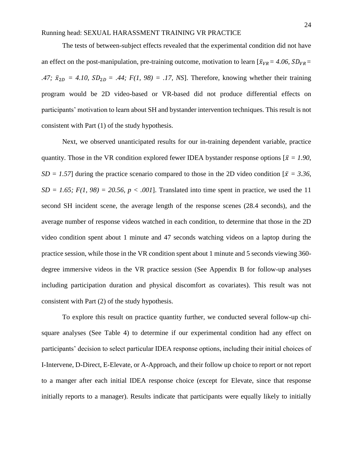The tests of between-subject effects revealed that the experimental condition did not have an effect on the post-manipulation, pre-training outcome, motivation to learn  $[\bar{x}_{VR} = 4.06, SD_{VR} =$ *.47;*  $\bar{x}_{2D} = 4.10$ ,  $SD_{2D} = .44$ ;  $F(1, 98) = .17$ , NS]. Therefore, knowing whether their training program would be 2D video-based or VR-based did not produce differential effects on participants' motivation to learn about SH and bystander intervention techniques. This result is not consistent with Part (1) of the study hypothesis.

Next, we observed unanticipated results for our in-training dependent variable, practice quantity. Those in the VR condition explored fewer IDEA bystander response options  $\bar{x} = 1.90$ , *SD = 1.57*] during the practice scenario compared to those in the 2D video condition  $\bar{x} = 3.36$ ,  $SD = 1.65$ ;  $F(1, 98) = 20.56$ ,  $p < .001$ . Translated into time spent in practice, we used the 11 second SH incident scene, the average length of the response scenes (28.4 seconds), and the average number of response videos watched in each condition, to determine that those in the 2D video condition spent about 1 minute and 47 seconds watching videos on a laptop during the practice session, while those in the VR condition spent about 1 minute and 5 seconds viewing 360 degree immersive videos in the VR practice session (See Appendix B for follow-up analyses including participation duration and physical discomfort as covariates). This result was not consistent with Part (2) of the study hypothesis.

To explore this result on practice quantity further, we conducted several follow-up chisquare analyses (See Table 4) to determine if our experimental condition had any effect on participants' decision to select particular IDEA response options, including their initial choices of I-Intervene, D-Direct, E-Elevate, or A-Approach, and their follow up choice to report or not report to a manger after each initial IDEA response choice (except for Elevate, since that response initially reports to a manager). Results indicate that participants were equally likely to initially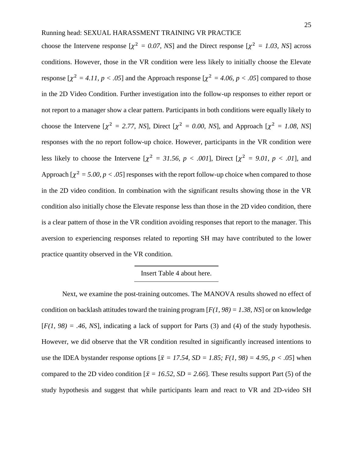choose the Intervene response  $[\chi^2 = 0.07, NS]$  and the Direct response  $[\chi^2 = 1.03, NS]$  across conditions. However, those in the VR condition were less likely to initially choose the Elevate response  $[\chi^2 = 4.11, p < .05]$  and the Approach response  $[\chi^2 = 4.06, p < .05]$  compared to those in the 2D Video Condition. Further investigation into the follow-up responses to either report or not report to a manager show a clear pattern. Participants in both conditions were equally likely to choose the Intervene  $[\chi^2 = 2.77, NS]$ , Direct  $[\chi^2 = 0.00, NS]$ , and Approach  $[\chi^2 = 1.08, NS]$ responses with the no report follow-up choice. However, participants in the VR condition were less likely to choose the Intervene  $[\chi^2 = 31.56, p < .001]$ , Direct  $[\chi^2 = 9.01, p < .01]$ , and Approach  $[\chi^2 = 5.00, p < .05]$  responses with the report follow-up choice when compared to those in the 2D video condition. In combination with the significant results showing those in the VR condition also initially chose the Elevate response less than those in the 2D video condition, there is a clear pattern of those in the VR condition avoiding responses that report to the manager. This aversion to experiencing responses related to reporting SH may have contributed to the lower practice quantity observed in the VR condition.

## Insert Table 4 about here.

Next, we examine the post-training outcomes. The MANOVA results showed no effect of condition on backlash attitudes toward the training program [*F(1, 98) = 1.38, NS*] or on knowledge  $[F(1, 98) = .46, NS]$ , indicating a lack of support for Parts (3) and (4) of the study hypothesis. However, we did observe that the VR condition resulted in significantly increased intentions to use the IDEA bystander response options  $\overline{x} = 17.54$ ,  $SD = 1.85$ ;  $F(1, 98) = 4.95$ ,  $p < .05$ ] when compared to the 2D video condition  $\bar{x} = 16.52$ ,  $SD = 2.66$ . These results support Part (5) of the study hypothesis and suggest that while participants learn and react to VR and 2D-video SH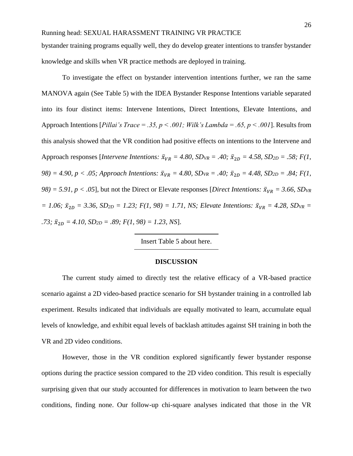bystander training programs equally well, they do develop greater intentions to transfer bystander knowledge and skills when VR practice methods are deployed in training[.](https://iveyca-my.sharepoint.com/personal/srawski_ivey_ca/Documents/Research%20Projects/Active%20Projects/SHT%20VR/TMB%20Full%20Draft%20R&R%2012.16.2021.docx#_ftn3)

To investigate the effect on bystander intervention intentions further, we ran the same MANOVA again (See Table 5) with the IDEA Bystander Response Intentions variable separated into its four distinct items: Intervene Intentions, Direct Intentions, Elevate Intentions, and Approach Intentions [*Pillai's Trace = .35, p < .001; Wilk's Lambda = .65, p < .001*]. Results from this analysis showed that the VR condition had positive effects on intentions to the Intervene and Approach responses [*Intervene Intentions:*  $\bar{x}_{VR} = 4.80$ ,  $SD_{VR} = .40$ ;  $\bar{x}_{2D} = 4.58$ ,  $SD_{2D} = .58$ ;  $F(1, 1)$ *98)* = 4.90, *p* < .05; Approach Intentions:  $\bar{x}_{VR}$  = 4.80,  $SD_{VR}$  = .40;  $\bar{x}_{2D}$  = 4.48,  $SD_{2D}$  = .84;  $F(1, 1)$ *98)* = 5.91,  $p < .05$ ], but not the Direct or Elevate responses [*Direct Intentions:*  $\bar{x}_{VR} = 3.66$ , *SDvR*  $\bar{x}_{12D} = 1.06$ ;  $\bar{x}_{2D} = 3.36$ ,  $SD_{2D} = 1.23$ ;  $F(1, 98) = 1.71$ , NS; Elevate Intentions:  $\bar{x}_{VR} = 4.28$ ,  $SD_{VR} = 1.71$  $.73; \bar{x}_{2D} = 4.10, SD_{2D} = .89; F(1, 98) = 1.23, NS$ ].

Insert Table 5 about here.

#### **DISCUSSION**

The current study aimed to directly test the relative efficacy of a VR-based practice scenario against a 2D video-based practice scenario for SH bystander training in a controlled lab experiment. Results indicated that individuals are equally motivated to learn, accumulate equal levels of knowledge, and exhibit equal levels of backlash attitudes against SH training in both the VR and 2D video conditions.

However, those in the VR condition explored significantly fewer bystander response options during the practice session compared to the 2D video condition. This result is especially surprising given that our study accounted for differences in motivation to learn between the two conditions, finding none. Our follow-up chi-square analyses indicated that those in the VR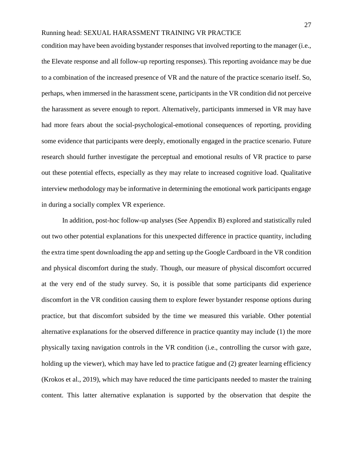condition may have been avoiding bystander responses that involved reporting to the manager (i.e., the Elevate response and all follow-up reporting responses). This reporting avoidance may be due to a combination of the increased presence of VR and the nature of the practice scenario itself. So, perhaps, when immersed in the harassment scene, participants in the VR condition did not perceive the harassment as severe enough to report. Alternatively, participants immersed in VR may have had more fears about the social-psychological-emotional consequences of reporting, providing some evidence that participants were deeply, emotionally engaged in the practice scenario. Future research should further investigate the perceptual and emotional results of VR practice to parse out these potential effects, especially as they may relate to increased cognitive load. Qualitative interview methodology may be informative in determining the emotional work participants engage in during a socially complex VR experience.

In addition, post-hoc follow-up analyses (See Appendix B) explored and statistically ruled out two other potential explanations for this unexpected difference in practice quantity, including the extra time spent downloading the app and setting up the Google Cardboard in the VR condition and physical discomfort during the study. Though, our measure of physical discomfort occurred at the very end of the study survey. So, it is possible that some participants did experience discomfort in the VR condition causing them to explore fewer bystander response options during practice, but that discomfort subsided by the time we measured this variable. Other potential alternative explanations for the observed difference in practice quantity may include (1) the more physically taxing navigation controls in the VR condition (i.e., controlling the cursor with gaze, holding up the viewer), which may have led to practice fatigue and (2) greater learning efficiency (Krokos et al., 2019), which may have reduced the time participants needed to master the training content. This latter alternative explanation is supported by the observation that despite the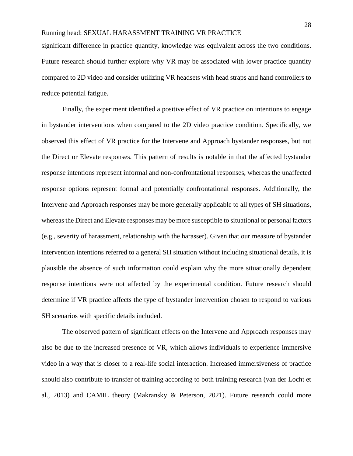significant difference in practice quantity, knowledge was equivalent across the two conditions. Future research should further explore why VR may be associated with lower practice quantity compared to 2D video and consider utilizing VR headsets with head straps and hand controllers to reduce potential fatigue.

Finally, the experiment identified a positive effect of VR practice on intentions to engage in bystander interventions when compared to the 2D video practice condition. Specifically, we observed this effect of VR practice for the Intervene and Approach bystander responses, but not the Direct or Elevate responses. This pattern of results is notable in that the affected bystander response intentions represent informal and non-confrontational responses, whereas the unaffected response options represent formal and potentially confrontational responses. Additionally, the Intervene and Approach responses may be more generally applicable to all types of SH situations, whereas the Direct and Elevate responses may be more susceptible to situational or personal factors (e.g., severity of harassment, relationship with the harasser). Given that our measure of bystander intervention intentions referred to a general SH situation without including situational details, it is plausible the absence of such information could explain why the more situationally dependent response intentions were not affected by the experimental condition. Future research should determine if VR practice affects the type of bystander intervention chosen to respond to various SH scenarios with specific details included.

The observed pattern of significant effects on the Intervene and Approach responses may also be due to the increased presence of VR, which allows individuals to experience immersive video in a way that is closer to a real-life social interaction. Increased immersiveness of practice should also contribute to transfer of training according to both training research (van der Locht et al., 2013) and CAMIL theory (Makransky & Peterson, 2021). Future research could more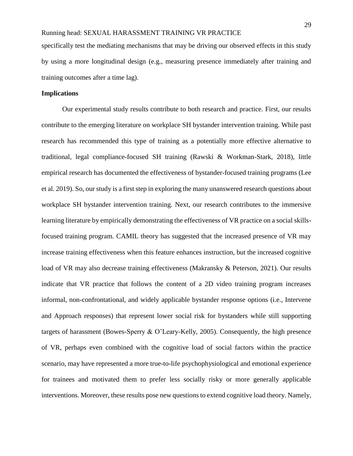specifically test the mediating mechanisms that may be driving our observed effects in this study by using a more longitudinal design (e.g., measuring presence immediately after training and training outcomes after a time lag).

## **Implications**

Our experimental study results contribute to both research and practice. First, our results contribute to the emerging literature on workplace SH bystander intervention training. While past research has recommended this type of training as a potentially more effective alternative to traditional, legal compliance-focused SH training (Rawski & Workman-Stark, 2018), little empirical research has documented the effectiveness of bystander-focused training programs (Lee et al. 2019). So, our study is a first step in exploring the many unanswered research questions about workplace SH bystander intervention training. Next, our research contributes to the immersive learning literature by empirically demonstrating the effectiveness of VR practice on a social skillsfocused training program. CAMIL theory has suggested that the increased presence of VR may increase training effectiveness when this feature enhances instruction, but the increased cognitive load of VR may also decrease training effectiveness (Makransky & Peterson, 2021). Our results indicate that VR practice that follows the content of a 2D video training program increases informal, non-confrontational, and widely applicable bystander response options (i.e., Intervene and Approach responses) that represent lower social risk for bystanders while still supporting targets of harassment (Bowes-Sperry & O'Leary-Kelly, 2005). Consequently, the high presence of VR, perhaps even combined with the cognitive load of social factors within the practice scenario, may have represented a more true-to-life psychophysiological and emotional experience for trainees and motivated them to prefer less socially risky or more generally applicable interventions. Moreover, these results pose new questions to extend cognitive load theory. Namely,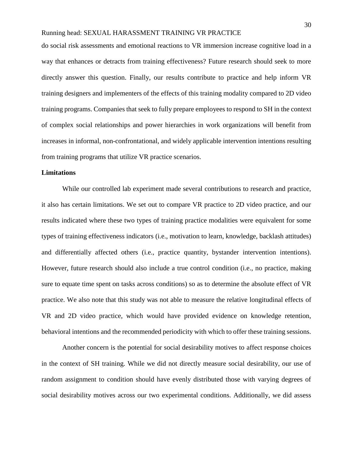do social risk assessments and emotional reactions to VR immersion increase cognitive load in a way that enhances or detracts from training effectiveness? Future research should seek to more directly answer this question. Finally, our results contribute to practice and help inform VR training designers and implementers of the effects of this training modality compared to 2D video training programs. Companies that seek to fully prepare employees to respond to SH in the context of complex social relationships and power hierarchies in work organizations will benefit from increases in informal, non-confrontational, and widely applicable intervention intentions resulting from training programs that utilize VR practice scenarios.

#### **Limitations**

While our controlled lab experiment made several contributions to research and practice, it also has certain limitations. We set out to compare VR practice to 2D video practice, and our results indicated where these two types of training practice modalities were equivalent for some types of training effectiveness indicators (i.e., motivation to learn, knowledge, backlash attitudes) and differentially affected others (i.e., practice quantity, bystander intervention intentions). However, future research should also include a true control condition (i.e., no practice, making sure to equate time spent on tasks across conditions) so as to determine the absolute effect of VR practice. We also note that this study was not able to measure the relative longitudinal effects of VR and 2D video practice, which would have provided evidence on knowledge retention, behavioral intentions and the recommended periodicity with which to offer these training sessions.

Another concern is the potential for social desirability motives to affect response choices in the context of SH training. While we did not directly measure social desirability, our use of random assignment to condition should have evenly distributed those with varying degrees of social desirability motives across our two experimental conditions. Additionally, we did assess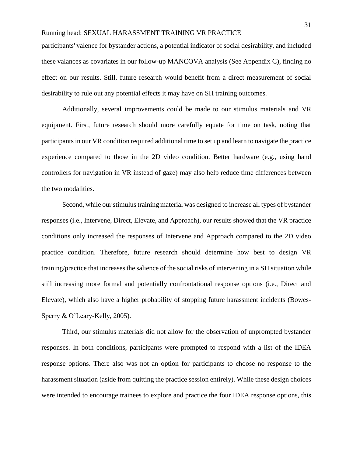participants' valence for bystander actions, a potential indicator of social desirability, and included these valances as covariates in our follow-up MANCOVA analysis (See Appendix C), finding no effect on our results. Still, future research would benefit from a direct measurement of social desirability to rule out any potential effects it may have on SH training outcomes.

Additionally, several improvements could be made to our stimulus materials and VR equipment. First, future research should more carefully equate for time on task, noting that participants in our VR condition required additional time to set up and learn to navigate the practice experience compared to those in the 2D video condition. Better hardware (e.g., using hand controllers for navigation in VR instead of gaze) may also help reduce time differences between the two modalities.

Second, while our stimulus training material was designed to increase all types of bystander responses (i.e., Intervene, Direct, Elevate, and Approach), our results showed that the VR practice conditions only increased the responses of Intervene and Approach compared to the 2D video practice condition. Therefore, future research should determine how best to design VR training/practice that increases the salience of the social risks of intervening in a SH situation while still increasing more formal and potentially confrontational response options (i.e., Direct and Elevate), which also have a higher probability of stopping future harassment incidents (Bowes-Sperry & O'Leary-Kelly, 2005).

Third, our stimulus materials did not allow for the observation of unprompted bystander responses. In both conditions, participants were prompted to respond with a list of the IDEA response options. There also was not an option for participants to choose no response to the harassment situation (aside from quitting the practice session entirely). While these design choices were intended to encourage trainees to explore and practice the four IDEA response options, this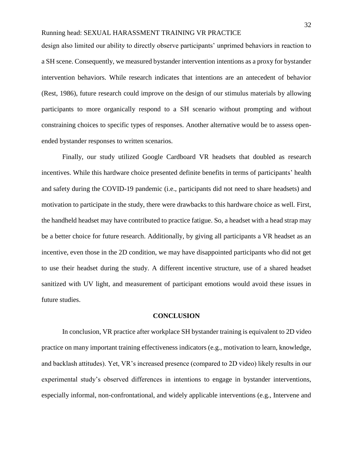design also limited our ability to directly observe participants' unprimed behaviors in reaction to a SH scene. Consequently, we measured bystander intervention intentions as a proxy for bystander intervention behaviors. While research indicates that intentions are an antecedent of behavior (Rest, 1986), future research could improve on the design of our stimulus materials by allowing participants to more organically respond to a SH scenario without prompting and without constraining choices to specific types of responses. Another alternative would be to assess openended bystander responses to written scenarios.

Finally, our study utilized Google Cardboard VR headsets that doubled as research incentives. While this hardware choice presented definite benefits in terms of participants' health and safety during the COVID-19 pandemic (i.e., participants did not need to share headsets) and motivation to participate in the study, there were drawbacks to this hardware choice as well. First, the handheld headset may have contributed to practice fatigue. So, a headset with a head strap may be a better choice for future research. Additionally, by giving all participants a VR headset as an incentive, even those in the 2D condition, we may have disappointed participants who did not get to use their headset during the study. A different incentive structure, use of a shared headset sanitized with UV light, and measurement of participant emotions would avoid these issues in future studies.

#### **CONCLUSION**

In conclusion, VR practice after workplace SH bystander training is equivalent to 2D video practice on many important training effectiveness indicators (e.g., motivation to learn, knowledge, and backlash attitudes). Yet, VR's increased presence (compared to 2D video) likely results in our experimental study's observed differences in intentions to engage in bystander interventions, especially informal, non-confrontational, and widely applicable interventions (e.g., Intervene and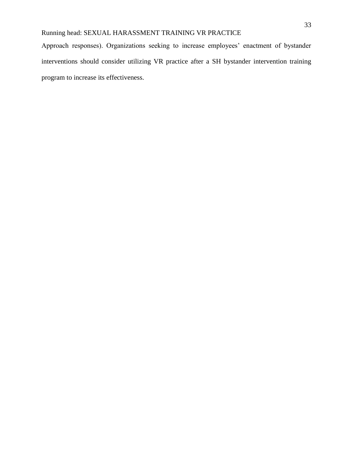Approach responses). Organizations seeking to increase employees' enactment of bystander interventions should consider utilizing VR practice after a SH bystander intervention training program to increase its effectiveness.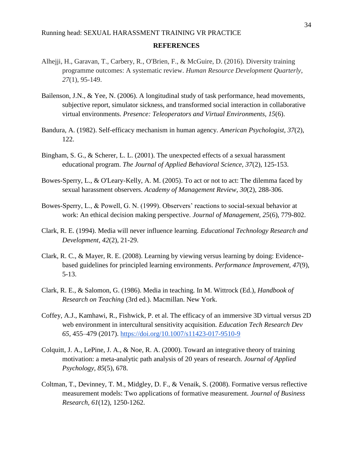#### **REFERENCES**

- Alhejji, H., Garavan, T., Carbery, R., O'Brien, F., & McGuire, D. (2016). Diversity training programme outcomes: A systematic review. *Human Resource Development Quarterly*, *27*(1), 95-149.
- Bailenson, J.N., & Yee, N. (2006). A longitudinal study of task performance, head movements, subjective report, simulator sickness, and transformed social interaction in collaborative virtual environments. *Presence: Teleoperators and Virtual Environments, 15*(6).
- Bandura, A. (1982). Self-efficacy mechanism in human agency. *American Psychologist, 37*(2), 122.
- Bingham, S. G., & Scherer, L. L. (2001). The unexpected effects of a sexual harassment educational program. *The Journal of Applied Behavioral Science, 37*(2), 125-153.
- Bowes-Sperry, L., & O'Leary-Kelly, A. M. (2005). To act or not to act: The dilemma faced by sexual harassment observers. *Academy of Management Review, 30*(2), 288-306.
- Bowes-Sperry, L., & Powell, G. N. (1999). Observers' reactions to social-sexual behavior at work: An ethical decision making perspective. *Journal of Management, 25*(6), 779-802.
- Clark, R. E. (1994). Media will never influence learning. *Educational Technology Research and Development, 42*(2), 21-29.
- Clark, R. C., & Mayer, R. E. (2008). Learning by viewing versus learning by doing: Evidencebased guidelines for principled learning environments. *Performance Improvement, 47*(9), 5-13.
- Clark, R. E., & Salomon, G. (1986). Media in teaching. In M. Wittrock (Ed.), *Handbook of Research on Teaching* (3rd ed.). Macmillan. New York.
- Coffey, A.J., Kamhawi, R., Fishwick, P. et al. The efficacy of an immersive 3D virtual versus 2D web environment in intercultural sensitivity acquisition*. Education Tech Research Dev 65,* 455–479 (2017). <https://doi.org/10.1007/s11423-017-9510-9>
- Colquitt, J. A., LePine, J. A., & Noe, R. A. (2000). Toward an integrative theory of training motivation: a meta-analytic path analysis of 20 years of research. *Journal of Applied Psychology, 85*(5), 678.
- Coltman, T., Devinney, T. M., Midgley, D. F., & Venaik, S. (2008). Formative versus reflective measurement models: Two applications of formative measurement. *Journal of Business Research, 61*(12), 1250-1262.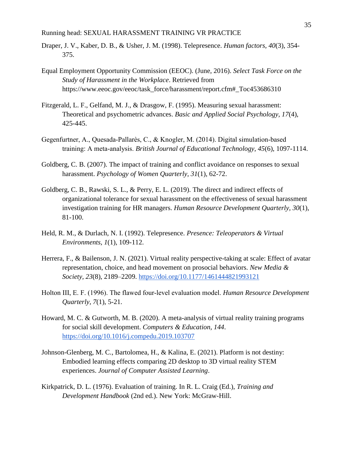- Draper, J. V., Kaber, D. B., & Usher, J. M. (1998). Telepresence. *Human factors, 40*(3), 354- 375.
- Equal Employment Opportunity Commission (EEOC). (June, 2016). *Select Task Force on the Study of Harassment in the Workplace*. Retrieved from https://www.eeoc.gov/eeoc/task\_force/harassment/report.cfm#\_Toc453686310
- Fitzgerald, L. F., Gelfand, M. J., & Drasgow, F. (1995). Measuring sexual harassment: Theoretical and psychometric advances. *Basic and Applied Social Psychology, 17*(4), 425-445.
- Gegenfurtner, A., Quesada‐Pallarès, C., & Knogler, M. (2014). Digital simulation‐based training: A meta‐analysis. *British Journal of Educational Technology, 45*(6), 1097-1114.
- Goldberg, C. B. (2007). The impact of training and conflict avoidance on responses to sexual harassment. *Psychology of Women Quarterly, 31*(1), 62-72.
- Goldberg, C. B., Rawski, S. L., & Perry, E. L. (2019). The direct and indirect effects of organizational tolerance for sexual harassment on the effectiveness of sexual harassment investigation training for HR managers. *Human Resource Development Quarterly, 30*(1), 81-100.
- Held, R. M., & Durlach, N. I. (1992). Telepresence. *Presence: Teleoperators & Virtual Environments, 1*(1), 109-112.
- Herrera, F., & Bailenson, J. N. (2021). Virtual reality perspective-taking at scale: Effect of avatar representation, choice, and head movement on prosocial behaviors. *New Media & Society, 23*(8), 2189–2209[.](https://doi.org/10.1177/1461444821993121) <https://doi.org/10.1177/1461444821993121>
- Holton III, E. F. (1996). The flawed four‐level evaluation model. *Human Resource Development Quarterly, 7*(1), 5-21.
- Howard, M. C. & Gutworth, M. B. (2020). A meta-analysis of virtual reality training programs for social skill development. *Computers & Education, 144*[.](https://doi.org/10.1016/j.compedu.2019.103707) <https://doi.org/10.1016/j.compedu.2019.103707>
- Johnson-Glenberg, M. C., Bartolomea, H., & Kalina, E. (2021). Platform is not destiny: Embodied learning effects comparing 2D desktop to 3D virtual reality STEM experiences. *Journal of Computer Assisted Learning*.
- Kirkpatrick, D. L. (1976). Evaluation of training. In R. L. Craig (Ed.), *Training and Development Handbook* (2nd ed.). New York: McGraw-Hill.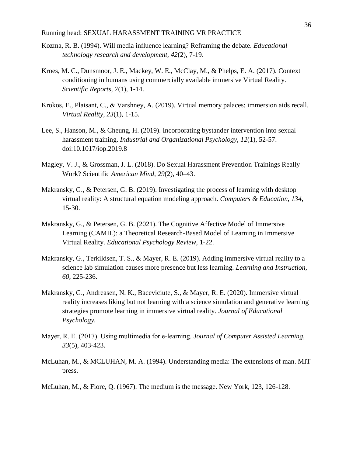- Kozma, R. B. (1994). Will media influence learning? Reframing the debate. *Educational technology research and development, 42*(2), 7-19.
- Kroes, M. C., Dunsmoor, J. E., Mackey, W. E., McClay, M., & Phelps, E. A. (2017). Context conditioning in humans using commercially available immersive Virtual Reality. *Scientific Reports, 7*(1), 1-14.
- Krokos, E., Plaisant, C., & Varshney, A. (2019). Virtual memory palaces: immersion aids recall. *Virtual Reality, 23*(1), 1-15.
- Lee, S., Hanson, M., & Cheung, H. (2019). Incorporating bystander intervention into sexual harassment training. *Industrial and Organizational Psychology, 12*(1), 52-57. doi:10.1017/iop.2019.8
- Magley, V. J., & Grossman, J. L. (2018). Do Sexual Harassment Prevention Trainings Really Work? Scientific *American Mind, 29*(2), 40–43.
- Makransky, G., & Petersen, G. B. (2019). Investigating the process of learning with desktop virtual reality: A structural equation modeling approach. *Computers & Education, 134*, 15-30.
- Makransky, G., & Petersen, G. B. (2021). The Cognitive Affective Model of Immersive Learning (CAMIL): a Theoretical Research-Based Model of Learning in Immersive Virtual Reality. *Educational Psychology Review,* 1-22.
- Makransky, G., Terkildsen, T. S., & Mayer, R. E. (2019). Adding immersive virtual reality to a science lab simulation causes more presence but less learning*. Learning and Instruction, 60*, 225-236.
- Makransky, G., Andreasen, N. K., Baceviciute, S., & Mayer, R. E. (2020). Immersive virtual reality increases liking but not learning with a science simulation and generative learning strategies promote learning in immersive virtual reality. *Journal of Educational Psychology.*
- Mayer, R. E. (2017). Using multimedia for e‐learning. *Journal of Computer Assisted Learning, 33*(5), 403-423.
- McLuhan, M., & MCLUHAN, M. A. (1994). Understanding media: The extensions of man. MIT press.
- McLuhan, M., & Fiore, Q. (1967). The medium is the message. New York, 123, 126-128.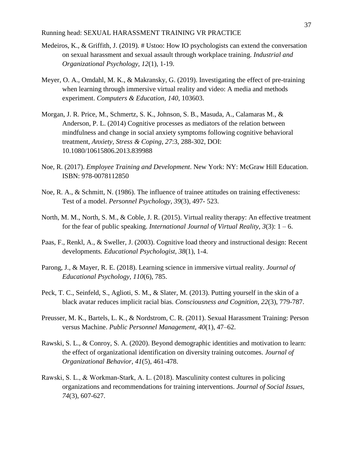- Medeiros, K., & Griffith, J. (2019). # Ustoo: How IO psychologists can extend the conversation on sexual harassment and sexual assault through workplace training. *Industrial and Organizational Psychology, 12*(1), 1-19.
- Meyer, O. A., Omdahl, M. K., & Makransky, G. (2019). Investigating the effect of pre-training when learning through immersive virtual reality and video: A media and methods experiment. *Computers & Education, 140*, 103603.
- Morgan, J. R. Price, M., Schmertz, S. K., Johnson, S. B., Masuda, A., Calamaras M., & Anderson, P. L. (2014) Cognitive processes as mediators of the relation between mindfulness and change in social anxiety symptoms following cognitive behavioral treatment, *Anxiety, Stress & Coping, 27*:3, 288-302, DOI: 10.1080/10615806.2013.839988
- Noe, R. (2017). *Employee Training and Development*. New York: NY: McGraw Hill Education. ISBN: 978-0078112850
- Noe, R. A., & Schmitt, N. (1986). The influence of trainee attitudes on training effectiveness: Test of a model. *Personnel Psychology, 39*(3), 497- 523.
- North, M. M., North, S. M., & Coble, J. R. (2015). Virtual reality therapy: An effective treatment for the fear of public speaking. *International Journal of Virtual Reality, 3*(3): 1 – 6.
- Paas, F., Renkl, A., & Sweller, J. (2003). Cognitive load theory and instructional design: Recent developments*. Educational Psychologist, 38*(1), 1-4.
- Parong, J., & Mayer, R. E. (2018). Learning science in immersive virtual reality. *Journal of Educational Psychology, 110*(6), 785.
- Peck, T. C., Seinfeld, S., Aglioti, S. M., & Slater, M. (2013). Putting yourself in the skin of a black avatar reduces implicit racial bias. *Consciousness and Cognition, 22*(3), 779-787.
- Preusser, M. K., Bartels, L. K., & Nordstrom, C. R. (2011). Sexual Harassment Training: Person versus Machine. *Public Personnel Management, 40*(1), 47–62.
- Rawski, S. L., & Conroy, S. A. (2020). Beyond demographic identities and motivation to learn: the effect of organizational identification on diversity training outcomes. *Journal of Organizational Behavior, 41*(5), 461-478.
- Rawski, S. L., & Workman‐Stark, A. L. (2018). Masculinity contest cultures in policing organizations and recommendations for training interventions. *Journal of Social Issues, 74*(3), 607-627.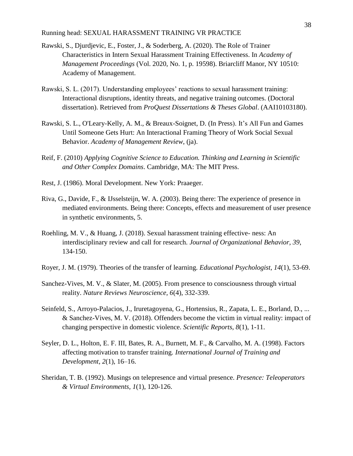- Rawski, S., Djurdjevic, E., Foster, J., & Soderberg, A. (2020). The Role of Trainer Characteristics in Intern Sexual Harassment Training Effectiveness. In *Academy of Management Proceedings* (Vol. 2020, No. 1, p. 19598). Briarcliff Manor, NY 10510: Academy of Management.
- Rawski, S. L. (2017). Understanding employees' reactions to sexual harassment training: Interactional disruptions, identity threats, and negative training outcomes. (Doctoral dissertation). Retrieved from *ProQuest Dissertations & Theses Global*. (AAI10103180).
- Rawski, S. L., O'Leary-Kelly, A. M., & Breaux-Soignet, D. (In Press). It's All Fun and Games Until Someone Gets Hurt: An Interactional Framing Theory of Work Social Sexual Behavior. *Academy of Management Review*, (ja).
- Reif, F. (2010) *Applying Cognitive Science to Education. Thinking and Learning in Scientific and Other Complex Domains*. Cambridge, MA: The MIT Press.
- Rest, J. (1986). Moral Development. New York: Praaeger.
- Riva, G., Davide, F., & IJsselsteijn, W. A. (2003). Being there: The experience of presence in mediated environments. Being there: Concepts, effects and measurement of user presence in synthetic environments, 5.
- Roehling, M. V., & Huang, J. (2018). Sexual harassment training effective- ness: An interdisciplinary review and call for research. *Journal of Organizational Behavior, 39*, 134-150.
- Royer, J. M. (1979). Theories of the transfer of learning. *Educational Psychologist, 14*(1), 53-69.
- Sanchez-Vives, M. V., & Slater, M. (2005). From presence to consciousness through virtual reality. *Nature Reviews Neuroscience, 6*(4), 332-339.
- Seinfeld, S., Arroyo-Palacios, J., Iruretagoyena, G., Hortensius, R., Zapata, L. E., Borland, D., ... & Sanchez-Vives, M. V. (2018). Offenders become the victim in virtual reality: impact of changing perspective in domestic violence. *Scientific Reports, 8*(1), 1-11.
- Seyler, D. L., Holton, E. F. III, Bates, R. A., Burnett, M. F., & Carvalho, M. A. (1998). Factors affecting motivation to transfer training. *International Journal of Training and Development, 2*(1), 16–16.
- Sheridan, T. B. (1992). Musings on telepresence and virtual presence. *Presence: Teleoperators & Virtual Environments, 1*(1), 120-126.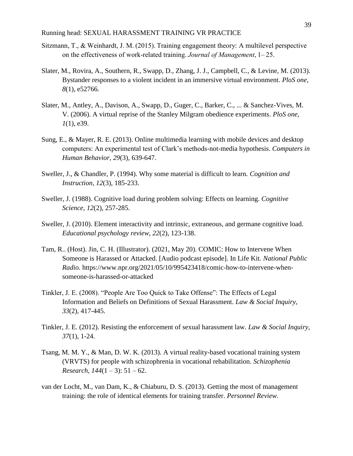- Sitzmann, T., & Weinhardt, J. M. (2015). Training engagement theory: A multilevel perspective on the effectiveness of work‐related training.*Journal of Management*, 1– 25.
- Slater, M., Rovira, A., Southern, R., Swapp, D., Zhang, J. J., Campbell, C., & Levine, M. (2013). Bystander responses to a violent incident in an immersive virtual environment. *PloS one, 8*(1), e52766.
- Slater, M., Antley, A., Davison, A., Swapp, D., Guger, C., Barker, C., ... & Sanchez-Vives, M. V. (2006). A virtual reprise of the Stanley Milgram obedience experiments. *PloS one, 1*(1), e39.
- Sung, E., & Mayer, R. E. (2013). Online multimedia learning with mobile devices and desktop computers: An experimental test of Clark's methods-not-media hypothesis. *Computers in Human Behavior, 29*(3), 639-647.
- Sweller, J., & Chandler, P. (1994). Why some material is difficult to learn. *Cognition and Instruction, 12*(3), 185-233.
- Sweller, J. (1988). Cognitive load during problem solving: Effects on learning. *Cognitive Science, 12*(2), 257-285.
- Sweller, J. (2010). Element interactivity and intrinsic, extraneous, and germane cognitive load. *Educational psychology review, 22*(2), 123-138.
- Tam, R.. (Host). Jin, C. H. (Illustrator). (2021, May 20). COMIC: How to Intervene When Someone is Harassed or Attacked. [Audio podcast episode]. In Life Kit. *National Public Radio.* https://www.npr.org/2021/05/10/995423418/comic-how-to-intervene-whensomeone-is-harassed-or-attacked
- Tinkler, J. E. (2008). "People Are Too Quick to Take Offense": The Effects of Legal Information and Beliefs on Definitions of Sexual Harassment. *Law & Social Inquiry, 33*(2), 417-445.
- Tinkler, J. E. (2012). Resisting the enforcement of sexual harassment law. *Law & Social Inquiry, 37*(1), 1-24.
- Tsang, M. M. Y., & Man, D. W. K. (2013). A virtual reality-based vocational training system (VRVTS) for people with schizophrenia in vocational rehabilitation. *Schizophenia Research,*  $144(1-3)$ *:*  $51-62$ .
- van der Locht, M., van Dam, K., & Chiaburu, D. S. (2013). Getting the most of management training: the role of identical elements for training transfer. *Personnel Review*.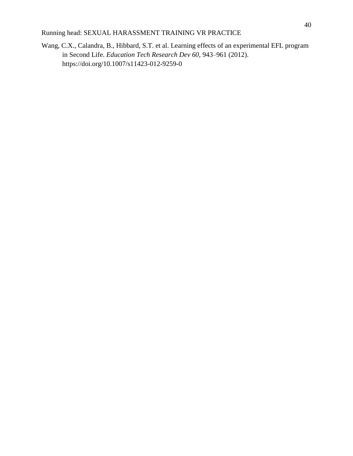Wang, C.X., Calandra, B., Hibbard, S.T. et al. Learning effects of an experimental EFL program in Second Life. *Education Tech Research Dev 60*, 943–961 (2012). https://doi.org/10.1007/s11423-012-9259-0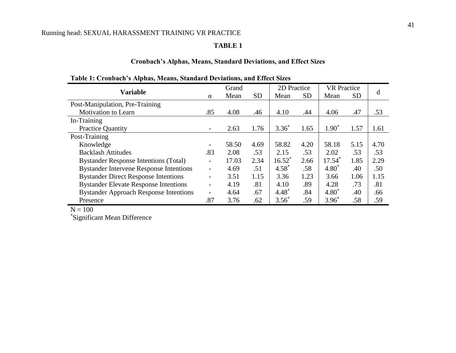## **TABLE 1**

## **Cronbach's Alphas, Means, Standard Deviations, and Effect Sizes**

| <b>Variable</b>                                |                          | Grand |           | 2D Practice |           | <b>VR</b> Practice |           |      |
|------------------------------------------------|--------------------------|-------|-----------|-------------|-----------|--------------------|-----------|------|
|                                                | $\alpha$                 | Mean  | <b>SD</b> | Mean        | <b>SD</b> | Mean               | <b>SD</b> | d    |
| Post-Manipulation, Pre-Training                |                          |       |           |             |           |                    |           |      |
| <b>Motivation to Learn</b>                     | .85                      | 4.08  | .46       | 4.10        | .44       | 4.06               | .47       | .53  |
| In-Training                                    |                          |       |           |             |           |                    |           |      |
| <b>Practice Quantity</b>                       |                          | 2.63  | 1.76      | $3.36*$     | 1.65      | $1.90*$            | 1.57      | 1.61 |
| Post-Training                                  |                          |       |           |             |           |                    |           |      |
| Knowledge                                      |                          | 58.50 | 4.69      | 58.82       | 4.20      | 58.18              | 5.15      | 4.70 |
| <b>Backlash Attitudes</b>                      | .83                      | 2.08  | .53       | 2.15        | .53       | 2.02               | .53       | .53  |
| <b>Bystander Response Intentions (Total)</b>   |                          | 17.03 | 2.34      | $16.52^*$   | 2.66      | $17.54*$           | 1.85      | 2.29 |
| <b>Bystander Intervene Response Intentions</b> | $\overline{\phantom{a}}$ | 4.69  | .51       | $4.58*$     | .58       | $4.80*$            | .40       | .50  |
| <b>Bystander Direct Response Intentions</b>    | $\overline{\phantom{a}}$ | 3.51  | 1.15      | 3.36        | 1.23      | 3.66               | 1.06      | 1.15 |
| <b>Bystander Elevate Response Intentions</b>   | $\overline{\phantom{a}}$ | 4.19  | .81       | 4.10        | .89       | 4.28               | .73       | .81  |
| <b>Bystander Approach Response Intentions</b>  | $\overline{\phantom{0}}$ | 4.64  | .67       | $4.48*$     | .84       | $4.80*$            | .40       | .66  |
| Presence                                       | .87                      | 3.76  | .62       | $3.56*$     | .59       | $3.96*$            | .58       | .59  |

## **Table 1: Cronbach's Alphas, Means, Standard Deviations, and Effect Sizes**

 $N = 100$ 

\*Significant Mean Difference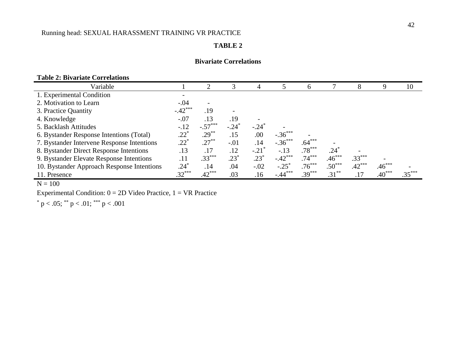## **TABLE 2**

## **Bivariate Correlations**

## **Table 2: Bivariate Correlations**

| Variable                                   |              |           |                          | 4                   |                | <sub>b</sub> |           | 8        | 9        | 10       |
|--------------------------------------------|--------------|-----------|--------------------------|---------------------|----------------|--------------|-----------|----------|----------|----------|
| 1. Experimental Condition                  |              |           |                          |                     |                |              |           |          |          |          |
| 2. Motivation to Learn                     | $-.04$       |           |                          |                     |                |              |           |          |          |          |
| 3. Practice Quantity                       | $-.42***$    | .19       | $\overline{\phantom{a}}$ |                     |                |              |           |          |          |          |
| 4. Knowledge                               | $-.07$       | .13       | .19                      |                     |                |              |           |          |          |          |
| 5. Backlash Attitudes                      | $-12$        | $-.57***$ | $-.24*$                  | $-.24$ <sup>*</sup> |                |              |           |          |          |          |
| 6. Bystander Response Intentions (Total)   | $.22\degree$ | $.29***$  | .15                      | .00.                | $-.36***$      |              |           |          |          |          |
| 7. Bystander Intervene Response Intentions | $.22^*$      | $.27***$  | $-.01$                   | .14                 | $-.36***$      | $.64***$     |           |          |          |          |
| 8. Bystander Direct Response Intentions    | .13          | .17       | .12                      | $-.21$              | $-13$          | $.78***$     | $.24$ $*$ |          |          |          |
| 9. Bystander Elevate Response Intentions   | .11          | $.33***$  | $.23*$                   | $.23*$              | $-.42***$      | $.74***$     | $.46***$  | $.33***$ |          |          |
| 10. Bystander Approach Response Intentions | .24*         | .14       | .04                      | $-.02$              | $-.25^{\circ}$ | $.76***$     | $.50***$  | $.42***$ | $.46***$ |          |
| 11. Presence                               | $.32***$     | $.42***$  | .03                      | .16                 | $-.44***$      | $.39***$     | $.31***$  | .17      | $.40***$ | $.35***$ |

 $N = 100$ 

Experimental Condition:  $0 = 2D$  Video Practice,  $1 = VR$  Practice

 $p < .05$ ; \*\* p  $< .01$ ; \*\*\* p  $< .001$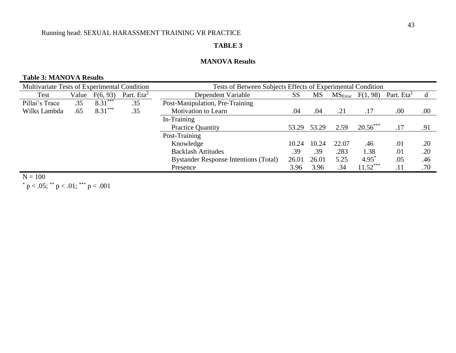## **TABLE 3**

## **MANOVA Results**

## **Table 3: MANOVA Results**

| Multivariate Tests of Experimental Condition |       |           |                        | Tests of Between Subjects Effects of Experimental Condition |           |       |                     |            |               |      |
|----------------------------------------------|-------|-----------|------------------------|-------------------------------------------------------------|-----------|-------|---------------------|------------|---------------|------|
| Test                                         | Value | F(6, 93)  | Part. Eta <sup>2</sup> | Dependent Variable                                          | <b>SS</b> | MS    | MS <sub>Error</sub> | F(1, 98)   | Part. $Eta^2$ |      |
| Pillai's Trace                               | .35   | $8.31***$ | .35                    | Post-Manipulation, Pre-Training                             |           |       |                     |            |               |      |
| Wilks Lambda                                 | .65   | $8.31***$ | .35                    | <b>Motivation to Learn</b>                                  | .04       | .04   | .21                 | .17        | .00           | .00. |
|                                              |       |           |                        | In-Training                                                 |           |       |                     |            |               |      |
|                                              |       |           |                        | <b>Practice Quantity</b>                                    | 53.29     | 53.29 | 2.59                | $20.56***$ | .17           | .91  |
|                                              |       |           |                        | Post-Training                                               |           |       |                     |            |               |      |
|                                              |       |           |                        | Knowledge                                                   | 10.24     | 10.24 | 22.07               | .46        | .01           | .20  |
|                                              |       |           |                        | <b>Backlash Attitudes</b>                                   | .39       | .39   | .283                | 1.38       | .01           | .20  |
|                                              |       |           |                        | <b>Bystander Response Intentions (Total)</b>                | 26.01     | 26.01 | 5.25                | $4.95^*$   | .05           | .46  |
|                                              |       |           |                        | Presence                                                    | 3.96      | 3.96  | .34                 | $11.52***$ | .11           | .70  |

 $N = 100$  $p < .05$ ;  $p < .01$ ;  $p > .001$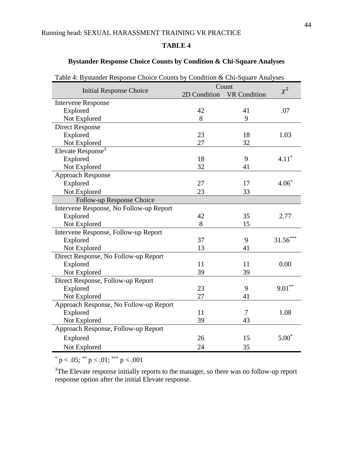## **TABLE 4**

## **Bystander Response Choice Counts by Condition & Chi-Square Analyses**

| raoic +. Dysianuci Response Choice Counts by Condition & Chi-Square Anaryses |              |                              |            |
|------------------------------------------------------------------------------|--------------|------------------------------|------------|
| <b>Initial Response Choice</b>                                               | 2D Condition | Count<br><b>VR Condition</b> | $\chi^2$   |
| <b>Intervene Response</b>                                                    |              |                              |            |
| Explored                                                                     | 42           | 41                           | .07        |
| Not Explored                                                                 | 8            | 9                            |            |
| <b>Direct Response</b>                                                       |              |                              |            |
| Explored                                                                     | 23           | 18                           | 1.03       |
| Not Explored                                                                 | 27           | 32                           |            |
| Elevate Response <sup>3</sup>                                                |              |                              |            |
| Explored                                                                     | 18           | 9                            | $4.11*$    |
| Not Explored                                                                 | 32           | 41                           |            |
|                                                                              |              |                              |            |
| <b>Approach Response</b>                                                     | 27           | 17                           | $4.06*$    |
| Explored                                                                     |              |                              |            |
| Not Explored                                                                 | 23           | 33                           |            |
| Follow-up Response Choice                                                    |              |                              |            |
| Intervene Response, No Follow-up Report                                      |              |                              |            |
| Explored                                                                     | 42           | 35                           | 2.77       |
| Not Explored                                                                 | 8            | 15                           |            |
| Intervene Response, Follow-up Report                                         |              |                              |            |
| Explored                                                                     | 37           | 9                            | $31.56***$ |
| Not Explored                                                                 | 13           | 41                           |            |
| Direct Response, No Follow-up Report                                         |              |                              |            |
| Explored                                                                     | 11           | 11                           | 0.00       |
| Not Explored                                                                 | 39           | 39                           |            |
| Direct Response, Follow-up Report                                            |              |                              |            |
| Explored                                                                     | 23           | 9                            | $9.01***$  |
| Not Explored                                                                 | 27           | 41                           |            |
| Approach Response, No Follow-up Report                                       |              |                              |            |
| Explored                                                                     | 11           | 7                            | 1.08       |
| Not Explored                                                                 | 39           | 43                           |            |
| Approach Response, Follow-up Report                                          |              |                              |            |
| Explored                                                                     | 26           | 15                           | $5.00*$    |
| Not Explored                                                                 | 24           | 35                           |            |

Table 4: Bystander Response Choice Counts by Condition  $\&$  Chi-Square Analyses

 $p < .05$ ; \*\* p  $< .01$ ; \*\*\* p  $< .001$ 

<sup>3</sup>The Elevate response initially reports to the manager, so there was no follow-up report response option after the initial Elevate response.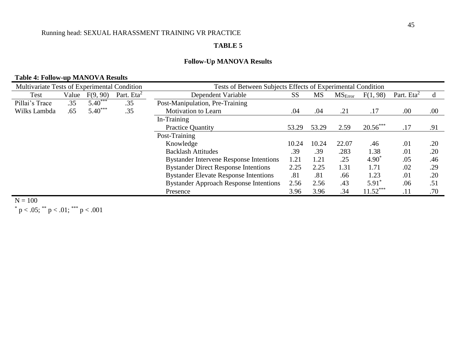## **TABLE 5**

## **Follow-Up MANOVA Results**

## **Table 4: Follow-up MANOVA Results**

| Multivariate Tests of Experimental Condition |       |           |                        | Tests of Between Subjects Effects of Experimental Condition |           |           |                     |            |               |      |
|----------------------------------------------|-------|-----------|------------------------|-------------------------------------------------------------|-----------|-----------|---------------------|------------|---------------|------|
| Test                                         | Value | F(9, 90)  | Part. Eta <sup>2</sup> | Dependent Variable                                          | <b>SS</b> | <b>MS</b> | MS <sub>Error</sub> | F(1, 98)   | Part. $Eta^2$ | d    |
| Pillai's Trace                               | .35   | $5.40***$ | .35                    | Post-Manipulation, Pre-Training                             |           |           |                     |            |               |      |
| Wilks Lambda                                 | .65   | $5.40***$ | .35                    | <b>Motivation to Learn</b>                                  | .04       | .04       | .21                 | .17        | .00           | .00. |
|                                              |       |           |                        | In-Training                                                 |           |           |                     |            |               |      |
|                                              |       |           |                        | <b>Practice Quantity</b>                                    | 53.29     | 53.29     | 2.59                | $20.56***$ | .17           | .91  |
|                                              |       |           |                        | Post-Training                                               |           |           |                     |            |               |      |
|                                              |       |           |                        | Knowledge                                                   | 10.24     | 10.24     | 22.07               | .46        | .01           | .20  |
|                                              |       |           |                        | <b>Backlash Attitudes</b>                                   | .39       | .39       | .283                | 1.38       | .01           | .20  |
|                                              |       |           |                        | <b>Bystander Intervene Response Intentions</b>              | 1.21      | 1.21      | .25                 | $4.90^*$   | .05           | .46  |
|                                              |       |           |                        | <b>Bystander Direct Response Intentions</b>                 | 2.25      | 2.25      | 1.31                | 1.71       | .02           | .29  |
|                                              |       |           |                        | <b>Bystander Elevate Response Intentions</b>                | .81       | .81       | .66                 | 1.23       | .01           | .20  |
|                                              |       |           |                        | <b>Bystander Approach Response Intentions</b>               | 2.56      | 2.56      | .43                 | $5.91^*$   | .06           | .51  |
|                                              |       |           |                        | Presence                                                    | 3.96      | 3.96      | .34                 | $11.52***$ | .11           | .70  |

 $N = 100$  $p < .05$ ; \*\* p  $< .01$ ; \*\*\* p  $< .001$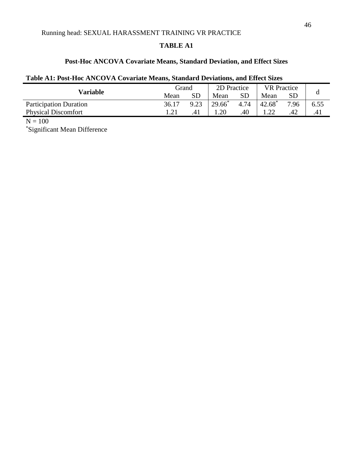## **TABLE A1**

## **Post-Hoc ANCOVA Covariate Means, Standard Deviation, and Effect Sizes**

## **Table A1: Post-Hoc ANCOVA Covariate Means, Standard Deviations, and Effect Sizes**

|       | Grand |           | 2D Practice |      | <b>VR</b> Practice |      |
|-------|-------|-----------|-------------|------|--------------------|------|
| Mean  | SD    | Mean      | SD          | Mean | SD                 |      |
| 36.17 | 9.23  | $29.66^*$ | 4.74        |      | 7.96               | 6.55 |
|       |       | .20       | .40         |      | 42                 | .41  |
|       |       |           |             |      | $42.68^*$          |      |

 $N = 100$ 

\*Significant Mean Difference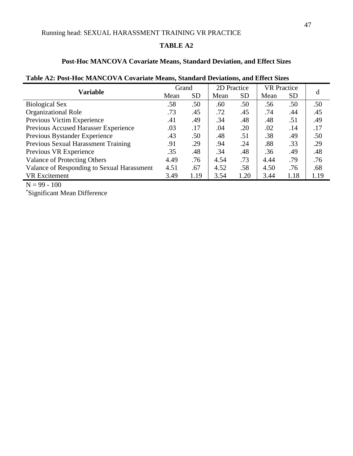## **TABLE A2**

## **Post-Hoc MANCOVA Covariate Means, Standard Deviation, and Effect Sizes**

|                                                  |      | Grand     |      | 2D Practice | <b>VR</b> Practice |           |      |
|--------------------------------------------------|------|-----------|------|-------------|--------------------|-----------|------|
| <b>Variable</b>                                  | Mean | <b>SD</b> | Mean | <b>SD</b>   | Mean               | <b>SD</b> | d    |
| <b>Biological Sex</b>                            | .58  | .50       | .60  | .50         | .56                | .50       | .50  |
| <b>Organizational Role</b>                       | .73  | .45       | .72  | .45         | .74                | .44       | .45  |
| Previous Victim Experience                       | .41  | .49       | .34  | .48         | .48                | .51       | .49  |
| Previous Accused Harasser Experience             | .03  | .17       | .04  | .20         | .02                | .14       | .17  |
| Previous Bystander Experience                    | .43  | .50       | .48  | .51         | .38                | .49       | .50  |
| Previous Sexual Harassment Training              | .91  | .29       | .94  | .24         | .88                | .33       | .29  |
| Previous VR Experience                           | .35  | .48       | .34  | .48         | .36                | .49       | .48  |
| <b>Valance of Protecting Others</b>              | 4.49 | .76       | 4.54 | .73         | 4.44               | .79       | .76  |
| Valance of Responding to Sexual Harassment       | 4.51 | .67       | 4.52 | .58         | 4.50               | .76       | .68  |
| <b>VR</b> Excitement                             | 3.49 | 1.19      | 3.54 | 1.20        | 3.44               | 1.18      | 1.19 |
| $\overline{11}$ $\overline{00}$ $\overline{100}$ |      |           |      |             |                    |           |      |

## **Table A2: Post-Hoc MANCOVA Covariate Means, Standard Deviations, and Effect Sizes**

 $N = 99 - 100$ 

\*Significant Mean Difference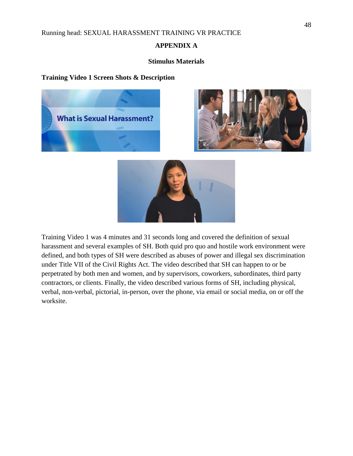## **APPENDIX A**

## **Stimulus Materials**

## **Training Video 1 Screen Shots & Description**





Training Video 1 was 4 minutes and 31 seconds long and covered the definition of sexual harassment and several examples of SH. Both quid pro quo and hostile work environment were defined, and both types of SH were described as abuses of power and illegal sex discrimination under Title VII of the Civil Rights Act. The video described that SH can happen to or be perpetrated by both men and women, and by supervisors, coworkers, subordinates, third party contractors, or clients. Finally, the video described various forms of SH, including physical, verbal, non-verbal, pictorial, in-person, over the phone, via email or social media, on or off the worksite.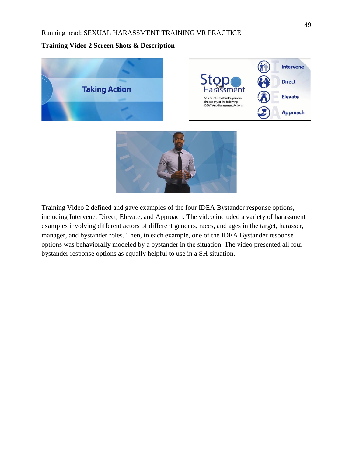## **Training Video 2 Screen Shots & Description**



Training Video 2 defined and gave examples of the four IDEA Bystander response options, including Intervene, Direct, Elevate, and Approach. The video included a variety of harassment examples involving different actors of different genders, races, and ages in the target, harasser, manager, and bystander roles. Then, in each example, one of the IDEA Bystander response options was behaviorally modeled by a bystander in the situation. The video presented all four bystander response options as equally helpful to use in a SH situation.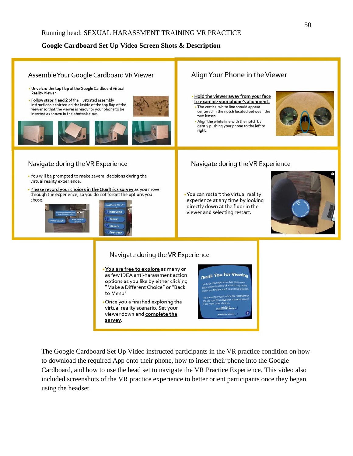## **Google Cardboard Set Up Video Screen Shots & Description**



The Google Cardboard Set Up Video instructed participants in the VR practice condition on how to download the required App onto their phone, how to insert their phone into the Google Cardboard, and how to use the head set to navigate the VR Practice Experience. This video also included screenshots of the VR practice experience to better orient participants once they began using the headset.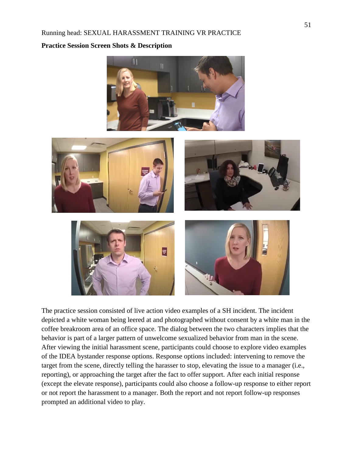#### **Practice Session Screen Shots & Description**



The practice session consisted of live action video examples of a SH incident. The incident depicted a white woman being leered at and photographed without consent by a white man in the coffee breakroom area of an office space. The dialog between the two characters implies that the behavior is part of a larger pattern of unwelcome sexualized behavior from man in the scene. After viewing the initial harassment scene, participants could choose to explore video examples of the IDEA bystander response options. Response options included: intervening to remove the target from the scene, directly telling the harasser to stop, elevating the issue to a manager (i.e., reporting), or approaching the target after the fact to offer support. After each initial response (except the elevate response), participants could also choose a follow-up response to either report or not report the harassment to a manager. Both the report and not report follow-up responses prompted an additional video to play.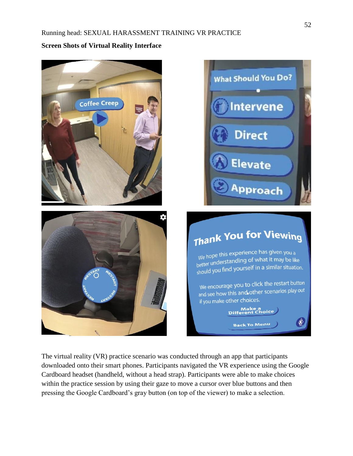**Screen Shots of Virtual Reality Interface**





# Thank You for Viewing

We hope this experience has given you a We hope this experience has given you a<br>better understanding of what it may be like<br>better understanding of what it may be like better understationity of the complete the studio.

We encourage you to click the restart button We encourage you to their theory we encourage you to their first if you make other choices.

Make a<br>Different Choice

**Back To Menu** 

 $\langle \rangle$ 

The virtual reality (VR) practice scenario was conducted through an app that participants downloaded onto their smart phones. Participants navigated the VR experience using the Google Cardboard headset (handheld, without a head strap). Participants were able to make choices within the practice session by using their gaze to move a cursor over blue buttons and then pressing the Google Cardboard's gray button (on top of the viewer) to make a selection.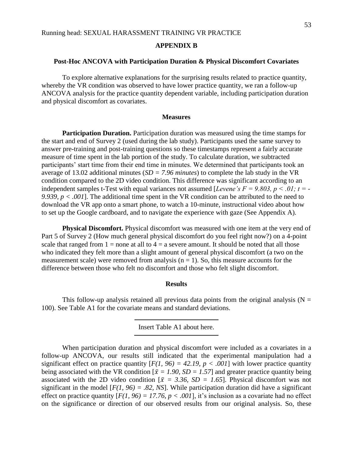## **APPENDIX B**

#### **Post-Hoc ANCOVA with Participation Duration & Physical Discomfort Covariates**

To explore alternative explanations for the surprising results related to practice quantity, whereby the VR condition was observed to have lower practice quantity, we ran a follow-up ANCOVA analysis for the practice quantity dependent variable, including participation duration and physical discomfort as covariates.

#### **Measures**

**Participation Duration.** Participation duration was measured using the time stamps for the start and end of Survey 2 (used during the lab study). Participants used the same survey to answer pre-training and post-training questions so these timestamps represent a fairly accurate measure of time spent in the lab portion of the study. To calculate duration, we subtracted participants' start time from their end time in minutes. We determined that participants took an average of 13.02 additional minutes (*SD = 7.96 minutes*) to complete the lab study in the VR condition compared to the 2D video condition. This difference was significant according to an independent samples t-Test with equal variances not assumed [*Levene's F = 9.803, p < .01; t = - 9.939, p < .001*]. The additional time spent in the VR condition can be attributed to the need to download the VR app onto a smart phone, to watch a 10-minute, instructional video about how to set up the Google cardboard, and to navigate the experience with gaze (See Appendix A).

**Physical Discomfort.** Physical discomfort was measured with one item at the very end of Part 5 of Survey 2 (How much general physical discomfort do you feel right now?) on a 4-point scale that ranged from  $1 =$  none at all to  $4 =$  a severe amount. It should be noted that all those who indicated they felt more than a slight amount of general physical discomfort (a two on the measurement scale) were removed from analysis  $(n = 1)$ . So, this measure accounts for the difference between those who felt no discomfort and those who felt slight discomfort.

#### **Results**

This follow-up analysis retained all previous data points from the original analysis ( $N =$ 100). See Table A1 for the covariate means and standard deviations.

Insert Table A1 about here.

When participation duration and physical discomfort were included as a covariates in a follow-up ANCOVA, our results still indicated that the experimental manipulation had a significant effect on practice quantity  $[F(1, 96) = 42.19, p < .001]$  with lower practice quantity being associated with the VR condition  $\bar{x} = 1.90$ ,  $SD = 1.57$  and greater practice quantity being associated with the 2D video condition  $\bar{x} = 3.36$ ,  $SD = 1.65$ . Physical discomfort was not significant in the model  $[F(1, 96) = .82, NS]$ . While participation duration did have a significant effect on practice quantity  $[F(1, 96) = 17.76, p < .001]$ , it's inclusion as a covariate had no effect on the significance or direction of our observed results from our original analysis. So, these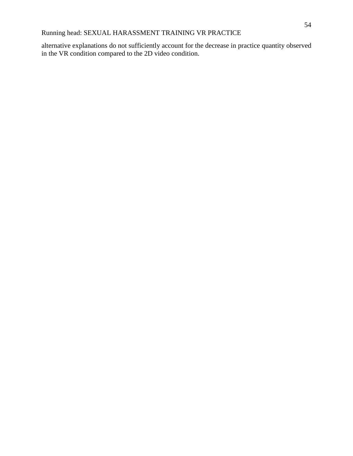alternative explanations do not sufficiently account for the decrease in practice quantity observed in the VR condition compared to the 2D video condition.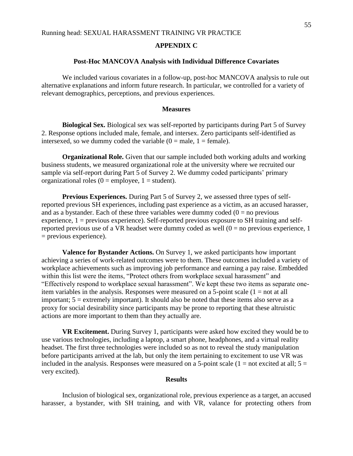#### **APPENDIX C**

#### **Post-Hoc MANCOVA Analysis with Individual Difference Covariates**

We included various covariates in a follow-up, post-hoc MANCOVA analysis to rule out alternative explanations and inform future research. In particular, we controlled for a variety of relevant demographics, perceptions, and previous experiences.

#### **Measures**

**Biological Sex.** Biological sex was self-reported by participants during Part 5 of Survey 2. Response options included male, female, and intersex. Zero participants self-identified as intersexed, so we dummy coded the variable  $(0 = male, 1 = female)$ .

**Organizational Role.** Given that our sample included both working adults and working business students, we measured organizational role at the university where we recruited our sample via self-report during Part 5 of Survey 2. We dummy coded participants' primary organizational roles ( $0 =$ employee,  $1 =$ student).

**Previous Experiences.** During Part 5 of Survey 2, we assessed three types of selfreported previous SH experiences, including past experience as a victim, as an accused harasser, and as a bystander. Each of these three variables were dummy coded  $(0 = no$  previous experience, 1 = previous experience). Self-reported previous exposure to SH training and selfreported previous use of a VR headset were dummy coded as well  $(0 = no$  previous experience, 1 = previous experience).

**Valence for Bystander Actions.** On Survey 1, we asked participants how important achieving a series of work-related outcomes were to them. These outcomes included a variety of workplace achievements such as improving job performance and earning a pay raise. Embedded within this list were the items, "Protect others from workplace sexual harassment" and "Effectively respond to workplace sexual harassment". We kept these two items as separate oneitem variables in the analysis. Responses were measured on a 5-point scale  $(1 = not at all$ important;  $5 =$  extremely important). It should also be noted that these items also serve as a proxy for social desirability since participants may be prone to reporting that these altruistic actions are more important to them than they actually are.

**VR Excitement.** During Survey 1, participants were asked how excited they would be to use various technologies, including a laptop, a smart phone, headphones, and a virtual reality headset. The first three technologies were included so as not to reveal the study manipulation before participants arrived at the lab, but only the item pertaining to excitement to use VR was included in the analysis. Responses were measured on a 5-point scale  $(1 = not excited at all; 5 =$ very excited).

## **Results**

Inclusion of biological sex, organizational role, previous experience as a target, an accused harasser, a bystander, with SH training, and with VR, valance for protecting others from